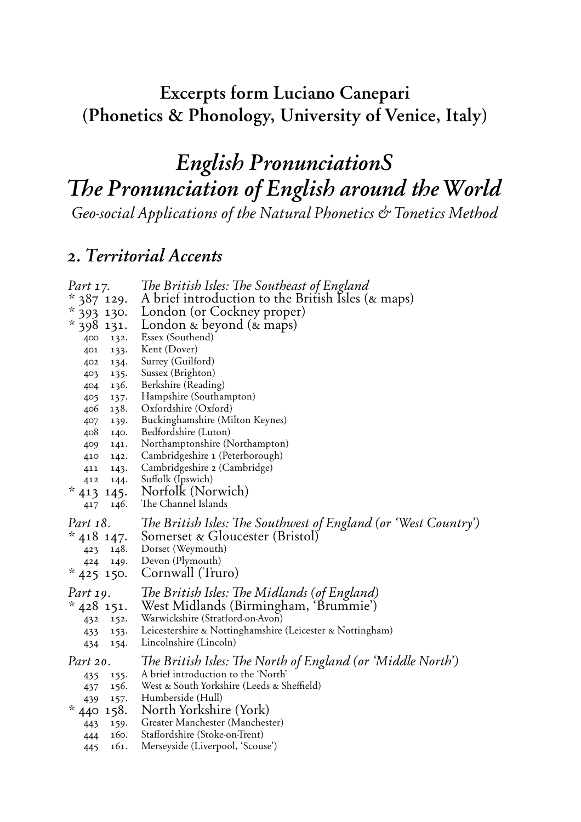#### **Excerpts form Luciano Canepari** (Phonetics & Phonology, University of Venice, Italy)

#### *English PronunciationS* The Pronunciation of English around the World *Geo-social Applications of the Natural Phonetics " Tonetics Method*

#### *2. Territorial Accents*

| Part 17.<br>$*387$ 129.<br>$*$ 393 130.<br>$*$ 398 131.<br>132.<br>400<br>133.<br>401<br>134.<br>402<br>135.<br>403<br>136.<br>404<br>137.<br>405<br>138.<br>406<br>139.<br>407<br>408<br>140.<br>141.<br>409<br>142.<br>410<br>411<br>143. | The British Isles: The Southeast of England<br>A brief introduction to the British Isles (& maps)<br>London (or Cockney proper)<br>London $\&$ beyond $(\&$ maps)<br>Essex (Southend)<br>Kent (Dover)<br>Surrey (Guilford)<br>Sussex (Brighton)<br>Berkshire (Reading)<br>Hampshire (Southampton)<br>Oxfordshire (Oxford)<br>Buckinghamshire (Milton Keynes)<br>Bedfordshire (Luton)<br>Northamptonshire (Northampton)<br>Cambridgeshire 1 (Peterborough)<br>Cambridgeshire 2 (Cambridge) |
|---------------------------------------------------------------------------------------------------------------------------------------------------------------------------------------------------------------------------------------------|-------------------------------------------------------------------------------------------------------------------------------------------------------------------------------------------------------------------------------------------------------------------------------------------------------------------------------------------------------------------------------------------------------------------------------------------------------------------------------------------|
| 144.<br>412<br>* 413<br>145.<br>146.<br>417                                                                                                                                                                                                 | Suffolk (Ipswich)<br>Norfolk (Norwich)<br>The Channel Islands                                                                                                                                                                                                                                                                                                                                                                                                                             |
| Part 18.<br>* 418 147.<br>423 148.<br>424<br>149.<br>$*$ 425 150.                                                                                                                                                                           | The British Isles: The Southwest of England (or 'West Country')<br>Somerset & Gloucester (Bristol)<br>Dorset (Weymouth)<br>Devon (Plymouth)<br>Cornwall (Truro)                                                                                                                                                                                                                                                                                                                           |
| Part 19.<br>$*$ 428 151.<br>432<br>152.<br>433<br>153.<br>434<br>154.                                                                                                                                                                       | The British Isles: The Midlands (of England)<br>West Midlands (Birmingham, 'Brummie')<br>Warwickshire (Stratford-on-Avon)<br>Leicestershire & Nottinghamshire (Leicester & Nottingham)<br>Lincolnshire (Lincoln)                                                                                                                                                                                                                                                                          |
| Part 20.<br>155.<br>435<br>156.<br>437<br>439<br>157.<br>$*440$<br>158.<br>159.<br>443<br>160.<br>444<br>161.<br>445                                                                                                                        | The British Isles: The North of England (or 'Middle North')<br>A brief introduction to the 'North'<br>West & South Yorkshire (Leeds & Sheffield)<br>Humberside (Hull)<br>North Yorkshire (York)<br>Greater Manchester (Manchester)<br>Staffordshire (Stoke-on-Trent)<br>Merseyside (Liverpool, 'Scouse')                                                                                                                                                                                  |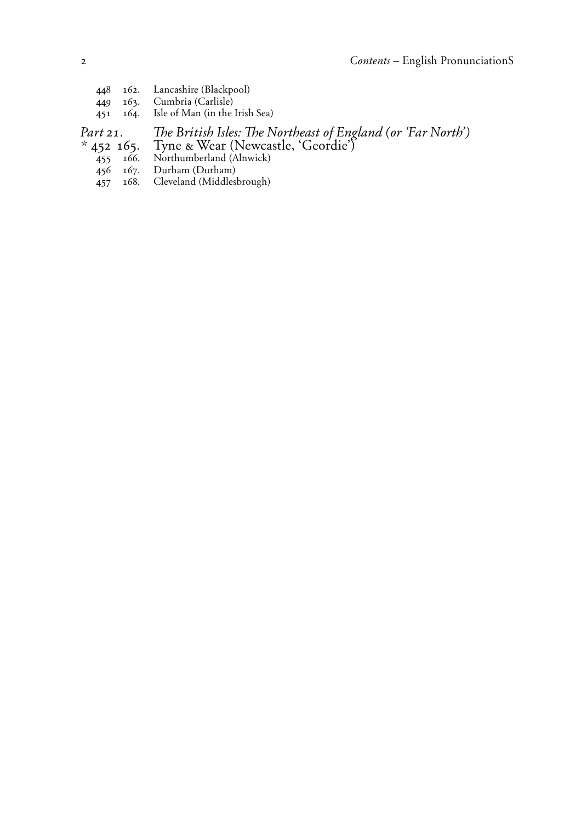448 162. Lancashire (Blackpool) 449 163. Cumbria (Carlisle)<br>451 164. Isle of Man (in the Isle of Man (in the Irish Sea)

Part 21. <sup>The British Isles: The Northeast of England (or 'Far North')</sup>

- \* 452 165. Tyne & Wear (Newcastle, 'Geordie')
	- 455 166. Northumberland (Alnwick)
	- 456 167. Durham (Durham)<br>457 168. Cleveland (Middles
	- Cleveland (Middlesbrough)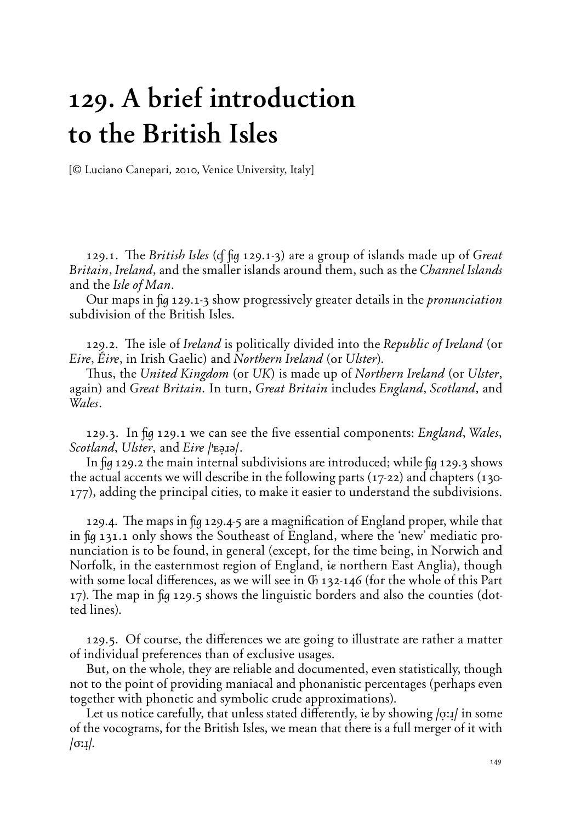# **129. A brief introduction to the British Isles**

{*©* Luciano Canepari, 2010, Venice University, Italy}

129.1. The *British Isles* (of fig 129.1-3) are a group of islands made up of *Great Britain*, *Ireland*, and the smaller islands around them, such as the *Channel Islands* and the *Isle of Man*.

Our maps in fig 129.1-3 show progressively greater details in the *pronunciation* subdivision of the British Isles.

129.2. The isle of *Ireland* is politically divided into the *Republic of Ireland* (or *Eire*, *Éire*, in Irish Gaelic) and *Northern Ireland* (or *Ulster*).

Thus, the *United Kingdom* (or *UK*) is made up of *Northern Ireland* (or *Ulster*, again) and *Great Britain˘* In turn, *Great Britain* includes *England*, *Scotland*, and *Wales*.

129.3. In fig 129.1 we can see the five essential components: *England*, *Wales*, *Scotland*, *Ulster*, and *Eire /'E*<sub>DI</sub>.

In  $\mu$  129.2 the main internal subdivisions are introduced; while  $\mu$  129.3 shows the actual accents we will describe in the following parts (17-22) and chapters (130- 177), adding the principal cities, to make it easier to understand the subdivisions.

129.4. The maps in  $\frac{1}{2}q$  129.4-5 are a magnification of England proper, while that in fig 131.1 only shows the Southeast of England, where the 'new' mediatic pronunciation is to be found, in general (except, for the time being, in Norwich and Norfolk, in the easternmost region of England, ie northern East Anglia), though with some local differences, as we will see in  $\Phi$  132-146 (for the whole of this Part 17). The map in  $\frac{1}{2}$  129.5 shows the linguistic borders and also the counties (dotted lines).

129.5. Of course, the differences we are going to illustrate are rather a matter of individual preferences than of exclusive usages.

But, on the whole, they are reliable and documented, even statistically, though not to the point of providing maniacal and phonanistic percentages (perhaps even together with phonetic and symbolic crude approximations).

Let us notice carefully, that unless stated differently, ie by showing */o*: $\mu$  in some of the vocograms, for the British Isles, we mean that there is a full merger of it with **/ø:≤/.**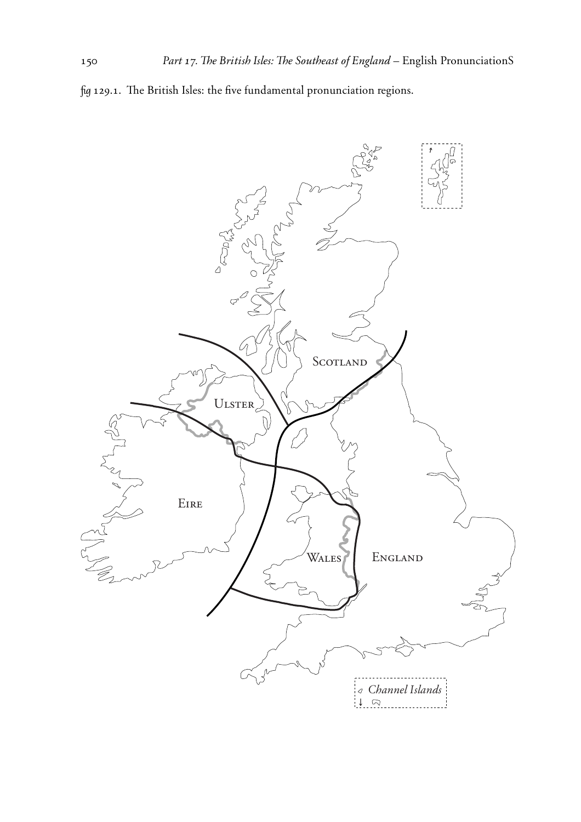

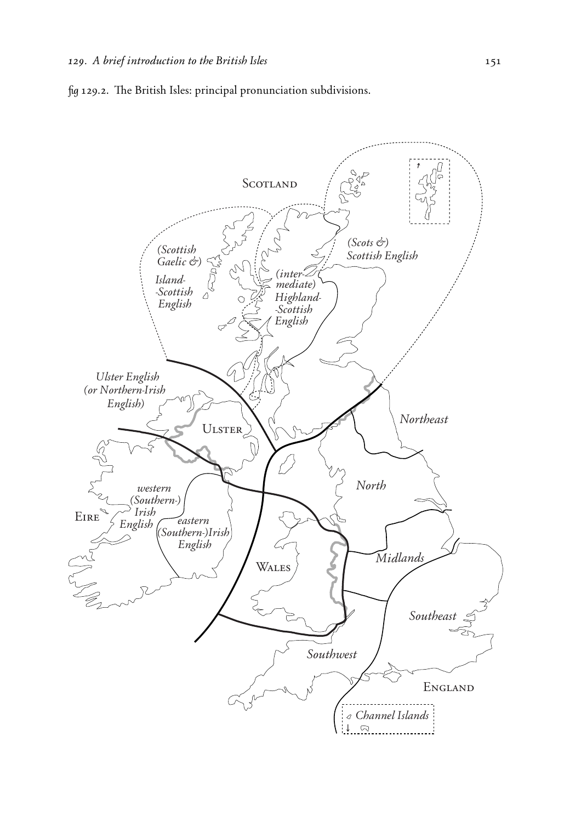

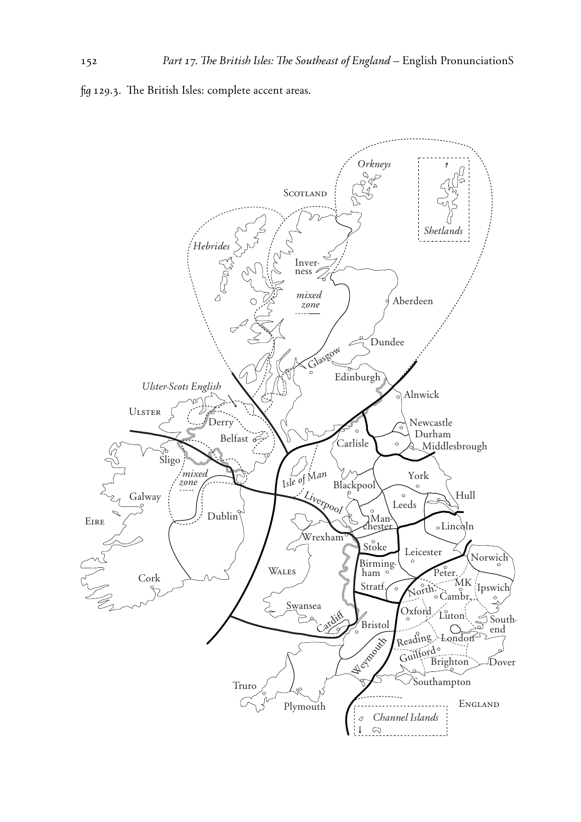fig 129.3. The British Isles: complete accent areas.

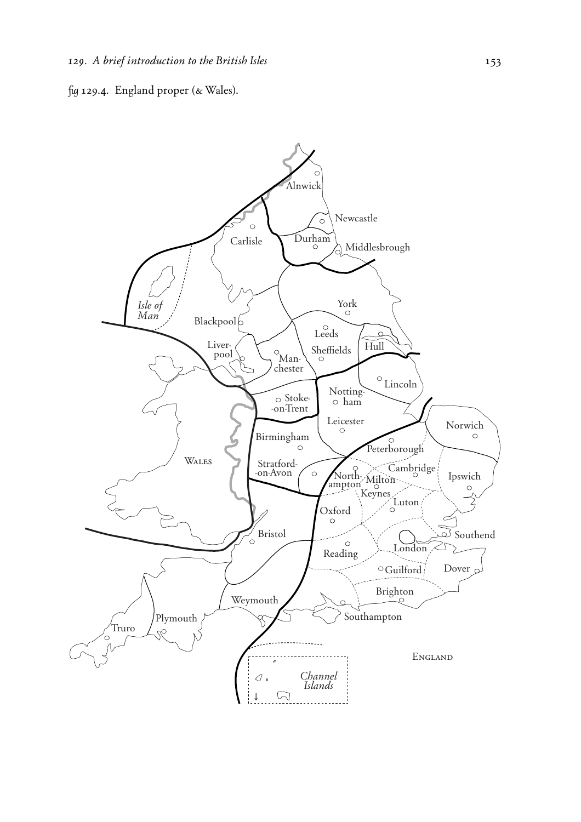

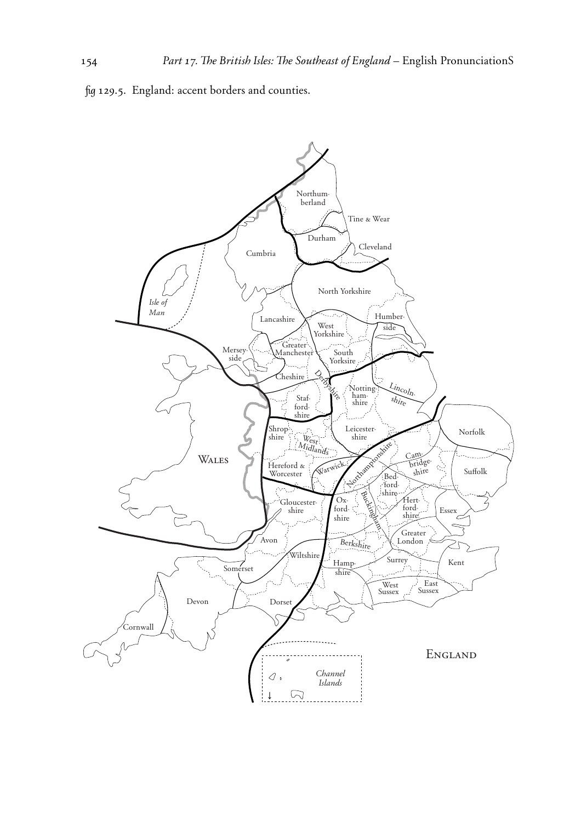fig 129.5. England: accent borders and counties.

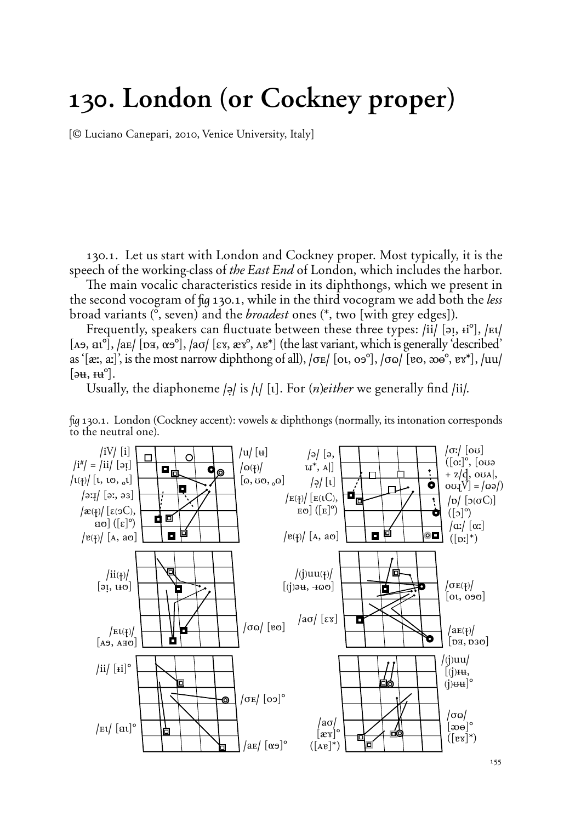## **130. London (or Cockney proper)**

{*©* Luciano Canepari, 2010, Venice University, Italy}

130.1. Let us start with London and Cockney proper. Most typically, it is the speech of the working-class of *the East End* of London, which includes the harbor.

The main vocalic characteristics reside in its diphthongs, which we present in the second vocogram of fig 130.1, while in the third vocogram we add both the *less* broad variants (**», seven**) and the *broadest* ones (**\*,** two {with grey edges}).

Frequently, speakers can fluctuate between these three types: /ii/ [əɪ, ɨi<sup>o</sup>], /Et/ [A $\sigma$ , at<sup>o</sup>], /a $\sigma$ / [ $\sigma$  $\sigma$ ,  $\alpha \sigma$ <sup>o</sup>], /a $\sigma$ / [ $\epsilon$ x,  $\alpha x$ <sup>\*</sup>,  $\alpha x$ <sup>\*</sup>] (the last variant, which is generally 'described' as ' $[\text{ær}, \text{ar}]$ ', is the most narrow diphthong of all),  $[\text{oe} / [\text{ot}, \text{oe}^{\circ}], \text{oo} / [\text{eo}, \text{oe}^{\circ}, \text{ev}^{\ast}], \text{du}$  $[\partial \mathbf{H}, \mathbf{H}^{\circ}].$ 

Usually, the diaphoneme  $|a|$  is  $|b|$  [t]. For  $(n)e$ *ither* we generally find *[ii]*.



fig 130.1. London (Cockney accent): vowels & diphthongs (normally, its intonation corresponds to the neutral one).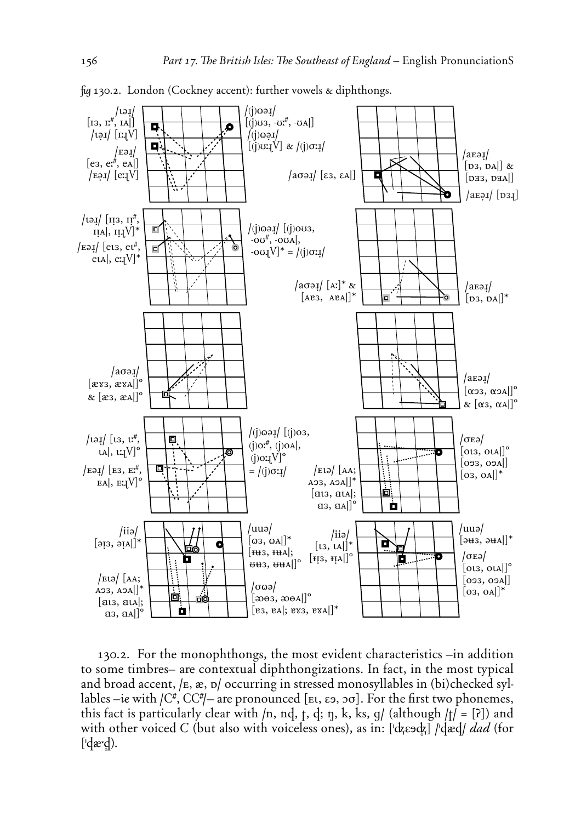

fig 130.2. London (Cockney accent): further vowels & diphthongs.

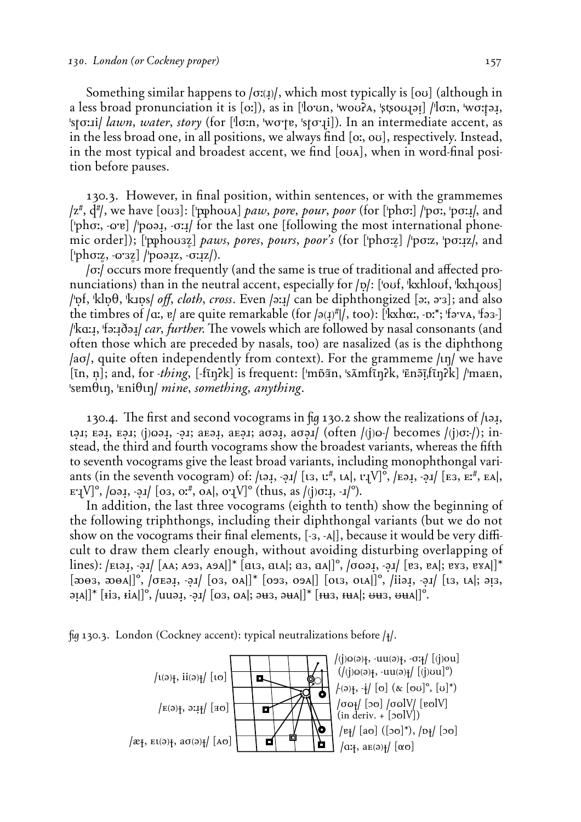Something similar happens to  $\sigma(x)$ , which most typically is  $\sigma$  (although in a less broad pronunciation it is [o:]), as in ['lo<sup>'</sup>un, 'wou?A, 'stsou]ai] /'lo:n, 'wo:ja!, 'stø:*il lawn, water, story* (for ['lø:n, 'wø'te, 'stø';*i*]). In an intermediate accent, as in the less broad one, in all positions, we always find [o:, ou], respectively. Instead, in the most typical and broadest accent, we find [ouA], when in word-final position before pauses.

130.3. However, in final position, within sentences, or with the grammemes  $\alpha$ / $z^{\#}$ ,  $d^{\#}$ , we have  $\lceil \omega_3 \rceil$ :  $\lceil \omega_3 \rceil$   $\alpha_4$  *paw*, *pore*, *pour*, *poor* (for  $\lceil \omega_5 \rceil$   $\lceil \omega_5 \rceil$ ,  $\lceil \omega_5 \rceil$ , and ['phơː, -o<sup>'</sup>e] /'poəi, -σːi/ for the last one [following the most international phonemic order]); ['pphou3z] *paws, pores, pours, poor's* (for ['phσ:z] /'pσ:z, 'pσ:1z/, and ['phσ:z, -ω'3z] /'pω*əxi, -σ*:*xz*/).

*lo:/* occurs more frequently (and the same is true of traditional and affected pronunciations) than in the neutral accent, especially for  $|p|$ : ['ouf, 'kxhlouf, 'kxhlous] **/']f, 'kl]†, 'k<]s/** *o‡˚ cloth˚ cross*. Even **/È:≤/** can be diphthongized **(È:, È;')**; and also the timbres of  $\alpha$ ,  $\beta$  are quite remarkable (for  $\beta(\alpha)$ <sup>#</sup>|, too): ['kxh $\alpha$ ;, - $\alpha$ <sup>\*</sup>; 'f $\beta$ ·va, 'f $\beta$ 3-] /ka:*s*, 'fə:*s*∂ə*s| car, further*. The vowels which are followed by nasal consonants (and often those which are preceded by nasals, too) are nasalized (as is the diphthong **/aø/, quite often independently from context). For the grammeme /tn/ we have** [in, n]; and, for -thing, [-fin?k] is frequent: ['mp̄ãn, 'sĀmfin?k, 'Enɔ̃iˌfin?k] /'maEn, 'semθιη, 'Eniθιη/ *mine, something, anything*.

130.4. The first and second vocograms in fig 130.2 show the realizations of /ia<sub>J</sub>, **t**эл; вэл; єјюэл, -эл; авэл, авэл; аоэл, аоэл/ (often /(j)o-/ becomes /(j)oː-/); instead, the third and fourth vocograms show the broadest variants, whereas the fifth to seventh vocograms give the least broad variants, including monophthongal variants (in the seventh vocogram) of:  $\langle \text{I5I}, \text{I5I}, \text{I5I}, \text{I6I}, \text{I7I} \rangle$ ,  $\langle \text{I5I}, \text{I5I}, \text{I7I} \rangle$ ,  $\langle \text{I5I}, \text{I5I}, \text{I7I} \rangle$ ,  $\langle \text{I5I}, \text{I5I}, \text{I7I} \rangle$ ,  $\langle \text{I5I}, \text{I5I}, \text{I7I} \rangle$  $\mathbb{E}[\mathbf{V}]^{\circ},$   $|\varphi\rangle$ ,  $|\varphi\rangle$ ,  $|\varphi\rangle$ ,  $|\varphi\rangle$ ,  $|\varphi\rangle$ ,  $|\varphi\rangle$ ,  $|\varphi\rangle$ ,  $|\varphi\rangle$ ,  $|\varphi\rangle$ ,  $|\varphi\rangle$ ,  $|\varphi\rangle$ ,  $|\varphi\rangle$ ,  $|\varphi\rangle$ ,  $|\varphi\rangle$ ,  $|\varphi\rangle$ ,  $|\varphi\rangle$ ,  $|\varphi\rangle$ ,  $|\varphi\rangle$ ,  $|\varphi\rangle$ ,  $|\varphi\rangle$ ,  $|\varphi\rangle$ ,  $|\varphi\rangle$ ,  $|\varphi$ 

In addition, the last three vocograms (eighth to tenth) show the beginning of the following triphthongs, including their diphthongal variants (but we do not show on the vocograms their final elements, [-3, -A]], because it would be very difficult to draw them clearly enough, without avoiding disturbing overlapping of lines): /Etəi, -əi/ [AA; A93, A9A]]\* [at3, atA]; a3, aA]]°, / $\sigma$  asi, -əi/ [e3, eA]; ex3, exA]]\* [**2003**, **2004**]]<sup>°</sup>, *|***OE21**,  $\cdot$ 21*|* [03, 0A]]\* [093, 09A]] [013, 01A]]<sup>°</sup>, *|*ii21,  $\cdot$ 21*|* [13, 1A]; 213,  $\Phi[A][*$  [**i**is, **ii**A]<sup> $\Phi$ </sup>, /uu $\Phi$ ,  $\Phi$ <sub>1</sub>/ [ $\Phi$ 3,  $\Phi$ A];  $\Phi$ **+3**,  $\Phi$ **+4**]<sup> $\Phi$ ,  $\Phi$   $\Phi$   $\Phi$   $\Phi$   $\Phi$   $\Phi$ </sup>

˙ 130.3. London (Cockney accent): typical neutralizations before **/§/**.

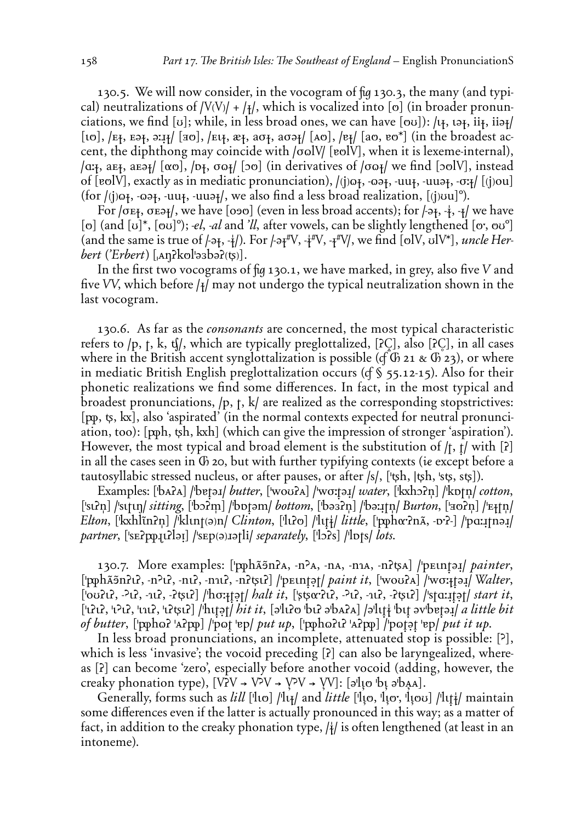130.5. We will now consider, in the vocogram of fig 130.3, the many (and typical) neutralizations of  $|V(V)| + |H|$ , which is vocalized into [o] (in broader pronunciations, we find [v]; while, in less broad ones, we can have [ov]):  $\mu_1$ ,  $\mu_2$ ,  $i\mu_3$ ,  $i\mu_4$ [10],  $E_{1}$ ,  $E_{2}$ ,  $E_{3}$ ,  $E_{4}$  [30],  $E_{4}$ ,  $E_{4}$ ,  $E_{5}$ ,  $E_{6}$ ,  $E_{7}$  [A0],  $E_{7}$  [ao,  $E_{8}$ <sup>\*</sup>] (in the broadest accent, the diphthong may coincide with  $\alpha$  /ool V [vel V], when it is lexeme-internal),  $\alpha$ <sub>7</sub>, aE<sub>7</sub>, aE<sub>7</sub>/ [ $\alpha$ <sup>o</sup>],  $\beta$ <sub>7</sub>,  $\sigma$  $\alpha$ <sub>*[*</sub>] [ $\sigma$ ] (in derivatives of  $\sigma$  $\alpha$ <sub>*f*</sub> $\alpha$  we find [ $\sigma$ olV], instead of [volV], exactly as in mediatic pronunciation),  $(i)\omega_{1}$ ,  $\omega_{2}$ ,  $\cdot \omega_{3}$ ,  $\cdot \omega_{4}$ ,  $\cdot \omega_{5}$ ,  $\cdot \sigma_{5}$  [(i)ou] (for /(j) $\alpha$ <sub>}</sub>, - $\alpha$  $\alpha$ <sub>}</sub>, - $\alpha$ u $\alpha$ <sub>}</sub>, - $\alpha$ uu $\alpha$ <sub>}</sub>/, we also find a less broad realization, [(j) $\alpha$ u]<sup>o</sup>).

For / $\sigma$ E<sub>7</sub>,  $\sigma$ E<sub>7</sub>/, we have [090] (even in less broad accents); for /- $\sigma$ <sub>7</sub>, - $\frac{1}{2}$ , - $\frac{1}{2}$ / we have [o] (and  $[u]^*, [\infty]$ <sup>o</sup>); *-el*, *-al* and *'ll*, after vowels, can be slightly lengthened  $[\infty, \infty]$ <sup>o</sup>] (and the same is true of  $\left(-\frac{1}{2}, \frac{1}{2}\right)$ ). For  $\left(-\frac{1}{2}, \frac{1}{2}\right)$ ,  $\left(-\frac{1}{2}\right)$ , we find  $\left[\frac{1}{2}, \frac{1}{2}\right]$ , uncle Her*bert* (*'Erbert*) [ $_{A}$ q?kol'ə3bə?( $\upphi$ )].

In the first two vocograms of  $f\omega$  130.1, we have marked, in grey, also five V and five VV, which before  $\left| \frac{1}{2} \right|$  may not undergo the typical neutralization shown in the last vocogram.

130.6. As far as the *consonants* are concerned, the most typical characteristic refers to /p, t, k, tf/, which are typically preglottalized, [?C], also [?C], in all cases where in the British accent synglottalization is possible (cf  $\overline{G}$  21 &  $\overline{G}$  23), or where in mediatic British English preglottalization occurs (of  $\S$  55.12-15). Also for their phonetic realizations we find some differences. In fact, in the most typical and broadest pronunciations,  $/p$ ,  $t$ ,  $k/$  are realized as the corresponding stopstrictives:  $[p\phi, \phi, kx]$ , also 'aspirated' (in the normal contexts expected for neutral pronunciation, too): [pph, tsh, kxh] (which can give the impression of stronger 'aspiration'). However, the most typical and broad element is the substitution of  $/t$ ,  $t/$  with [2] in all the cases seen in G 20, but with further typifying contexts (ie except before a tautosyllabic stressed nucleus, or after pauses, or after /s/, ['tsh, |tsh, 'sts, sts]).

Examples: [bara] /betail butter, [wourd] /wo:tail water, [kxhorn] /kptn/cotton, ['su'n] /'sutun/ sitting, ['bɔʔm] /'bɒtəm/ bottom, ['bəsʔn] /'bəːɪtn/ Burton, ['aoʔn] /'Eitn/ Elton, [kxhlĩn?n] /klint(ə)n/ Clinton, ['li?o] /'litik/ little, ['pphor?n $\tilde{A}$ , -v?-] /'pa:... partner,  $[$ 'sE $\alpha$ pp<sub>1</sub>( $\alpha$ lə<sub>I</sub>] /'sEp(ə) $\alpha$ ətli/ separately,  $[$ 'l $\alpha$ s] /'l $\alpha$ ts/ lots.

130.7. More examples: ['pphãsn?A, -n<sup>2</sup>A, -nA, -n1A, -n?tsA] /'pEtntail painter, ['pphãsnill, -n<sup>2</sup>li, -nui, -nui, -niltyli] /'pEintet/ paint it, ['woula] /'woitei] Walter,  $[00]$  $(1)$ ,  $-21$ ,  $-11$ ,  $-251$  $]$   $|$ h $\sigma$  $|$  $\sigma$  $|$  $\sigma$  $|$  $\sigma$  $|$  $\sigma$  $|$  $\sigma$  $|$  $\sigma$  $|$  $\sigma$  $|$  $\sigma$  $|$  $\sigma$  $|$  $\sigma$  $|$  $\sigma$  $|$  $\sigma$  $|$  $\sigma$  $|$  $\sigma$  $|$  $\sigma$  $|$  $\sigma$  $|$  $\sigma$  $|$  $\sigma$  $|$  $\sigma$  $|$  $\sigma$  $|$  $\sigma$  $|$  $\sigma$  $|$  $\sigma$  $|$  $\sigma$  $|$  $\sigma$  $[4212, 4212, 4112, 41242]$  /http://bitit. [allilo bul abala] /allti bu avbetai/ a little bit of butter, ['ppho?'A?pp] /'pot 'ep/ put up, ['ppho?u?'A?pp] /'potet 'ep/ put it up.

In less broad pronunciations, an incomplete, attenuated stop is possible: [?], which is less 'invasive'; the vocoid preceding [?] can also be laryngealized, whereas [?] can become 'zero', especially before another vocoid (adding, however, the creaky phonation type),  $[V2V \rightarrow V2V \rightarrow V2V \rightarrow VV]$ : [alto bt abad].

Generally, forms such as lill ['lto] /'ltt/ and little ['lto, 'lto, 'ltou] /'lttt/ maintain some differences even if the latter is actually pronounced in this way; as a matter of fact, in addition to the creaky phonation type,  $|\frac{1}{4}|$  is often lengthened (at least in an intoneme).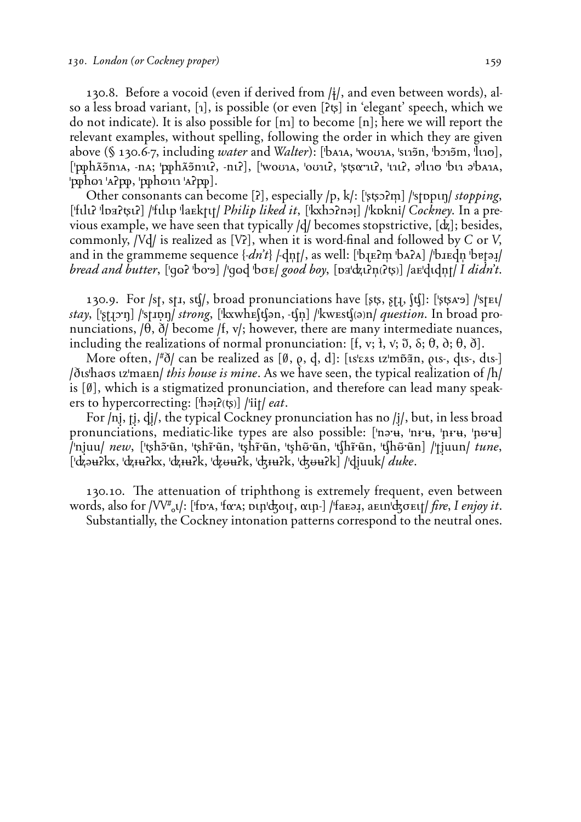130.8. Before a vocoid (even if derived from **/°/**, and even between words), also a less broad variant, **(4)**, is possible (or even **(ö«)** in 'elegant' speech, which we do not indicate). It is also possible for **(n4)** to become **(n)**; here we will report the relevant examples, without spelling, following the order in which they are given above (§ 130.6-7, including *water* and *Walter*): ['bA1A, 'wou1A, 'st15n, 'bɔ15m, 'lt10], **('***ã***h***Ä'***n4Å, -nÅ÷ '***ã***h***Ä'***n4¤ö, -n¤ö), ('woU4Å, 'oU4¤ö, 'ß«ª;4¤ö, '¤4¤ö, È'l¤4P 'b¤4 È'bÅ4Å, '***ã***h¨4 'Åö***ã***, '***ã***h¨4¤4 'Åö***ã***).**

Other consonants can become [2], especially /p, k/: ['stsx?m] /'stppun/ *stopping*,  $[$ 'fulu? 'loa?tsu?] /'fulup 'la $E$ ktut/ *Philip liked it*,  $[$ 'kxh>?nə1] /'kokni/ *Cockney*. In a previous example, we have seen that typically  $\frac{d}{d}$  becomes stopstrictive,  $\frac{d}{d}$ ; besides, commonly, */Vd/* is realized as [*V*?], when it is word-final and followed by *C* or *V*, and in the grammeme sequence  $\{dn't\}$   $\}$   $\frac{dn}{t}$ , as well:  $[\text{b}_I \text{E}_I]$   $\text{b}_I \text{A}_I$   $\text{b}_I \text{E}_I]$   $\frac{dn}{dt}$ *bread and butter*, ['qoo? 'bo'a] /'qood 'bore/ *good boy*, [px'dzu?n(?ts)] /aE'dudnt/ *I didn't*.

130.9. For **/st, st<, sc/**, broad pronunciations have **(ß«,** *Ù***˛>, Sc)**: **('ß«Å;Ù) /'st™¤/** *stay*, ['stron] /'strong, ['kxwhE(t(an, -t(n] /'kwest(a)n/ *question*. In broad pronunciations,  $\ket{\theta}$ ,  $\delta$  become  $\ket{f}$ ,  $v$ ; however, there are many intermediate nuances, including the realizations of normal pronunciation:  $[f, v; \theta, \delta, \theta, \delta, \theta, \delta]$ .

More often, **/+∑/** can be realized as **(***`***,** *fl***, d, D)**: **(¤s'E∆s ¤z'mÕ***3***n,** *fl***¤s-, d¤s-, D¤s-) /∑¤s'haøs ¤z'ma™n/** *this house is mine*. As we have seen, the typical realization of **/h/** is **(***`***)**, which is a stigmatized pronunciation, and therefore can lead many speakers to hypercorrecting:  $[\text{har}(\mathfrak{g})]$  /'iit/ *eat*.

For /nj, tj, dj/, the typical Cockney pronunciation has no /j/, but, in less broad pronunciations, mediatic-like types are also possible: ['nə·u, 'n+·u, 'n+·u, 'nu-u] /ˈnjuu/ *new*, [ˈtʂhɔ̃ˈũn, ˈtʂhr̃·ũn, ˈtʂhr̃·ũn, ˈtʂhʊ̃·ũn, ˈtʃhr̃·ũn, ˈtʃhʊ̃·ũn] /ˈtjuun/ *tune*, **('***D***È%ö***ê***, '***D***¢%ö***ê***, '***D***¢%ök, '***Á***Ï%ök, 'G¢%ök, 'GÏ%ök) /'dˆuuk/** *duke*.

130.10. The attenuation of triphthong is extremely frequent, even between words, also for */VV<sup>#</sup><sub>α</sub>ν/*: ['fɒ<sup>\*</sup>A, 'fα<sup>\*</sup>A; pιn'σξοιτ, αιη-] /'faεə<sub>+</sub>, aειn'σξοειτ*| fire, I enjoy it*. Substantially, the Cockney intonation patterns correspond to the neutral ones.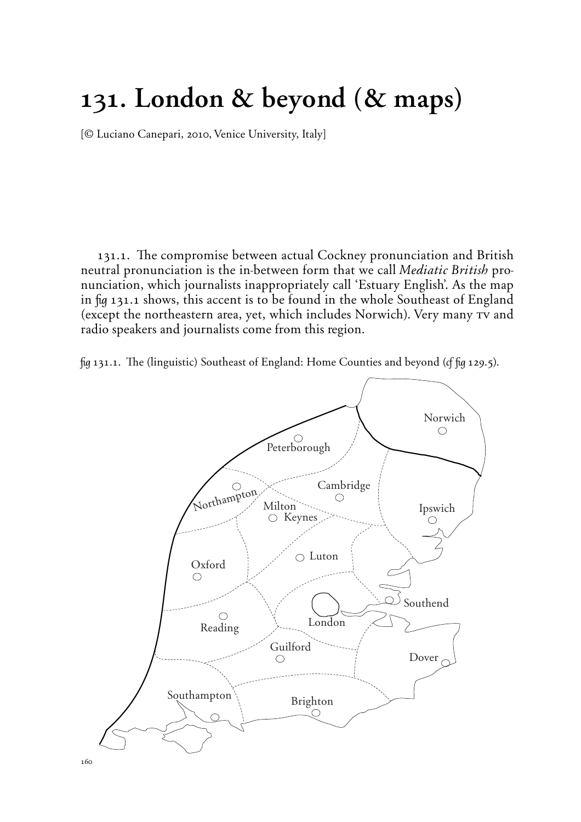#### 131. London & beyond (& maps)

{*©* Luciano Canepari, 2010, Venice University, Italy}

131.1. The compromise between actual Cockney pronunciation and British neutral pronunciation is the in-between form that we call *Mediatic British* pronunciation, which journalists inappropriately call 'Estuary English'. As the map in fig 131.1 shows, this accent is to be found in the whole Southeast of England (except the northeastern area, yet, which includes Norwich). Very many tv and radio speakers and journalists come from this region.

 $\beta$  131.1. The (linguistic) Southeast of England: Home Counties and beyond ( $\beta$   $\beta$  129.5).

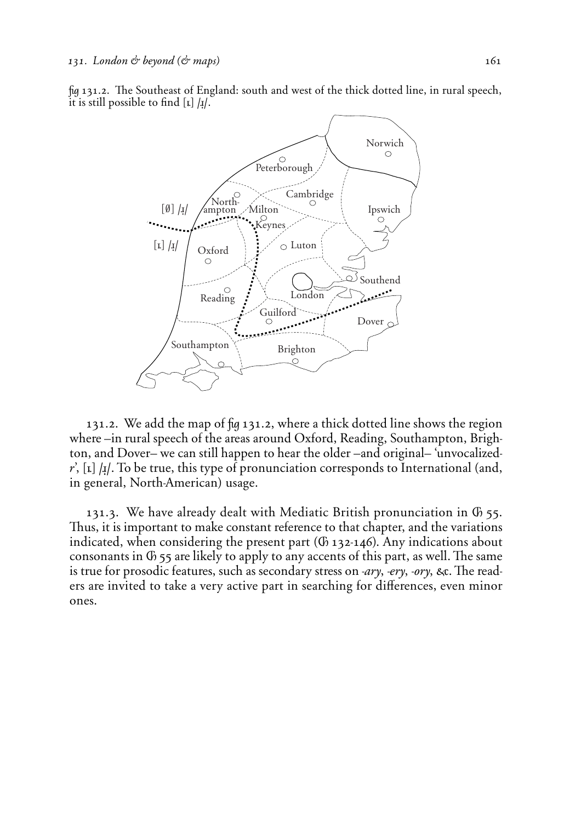fig 131.2. The Southeast of England: south and west of the thick dotted line, in rural speech, it is still possible to find  $\begin{bmatrix} \mu \end{bmatrix} / \mu$ .



131.2. We add the map of fig 131.2, where a thick dotted line shows the region where –in rural speech of the areas around Oxford, Reading, Southampton, Brighton, and Dover– we can still happen to hear the older –and original– 'unvocalized*r*', [I] /I]. To be true, this type of pronunciation corresponds to International (and, in general, North-American) usage.

131.3. We have already dealt with Mediatic British pronunciation in  $\Phi$  55. Thus, it is important to make constant reference to that chapter, and the variations indicated, when considering the present part  $(6)$  132-146). Any indications about consonants in  $\Phi$  55 are likely to apply to any accents of this part, as well. The same is true for prosodic features, such as secondary stress on *-ary*, *-ery*, *-ory*, &c. The readers are invited to take a very active part in searching for differences, even minor ones.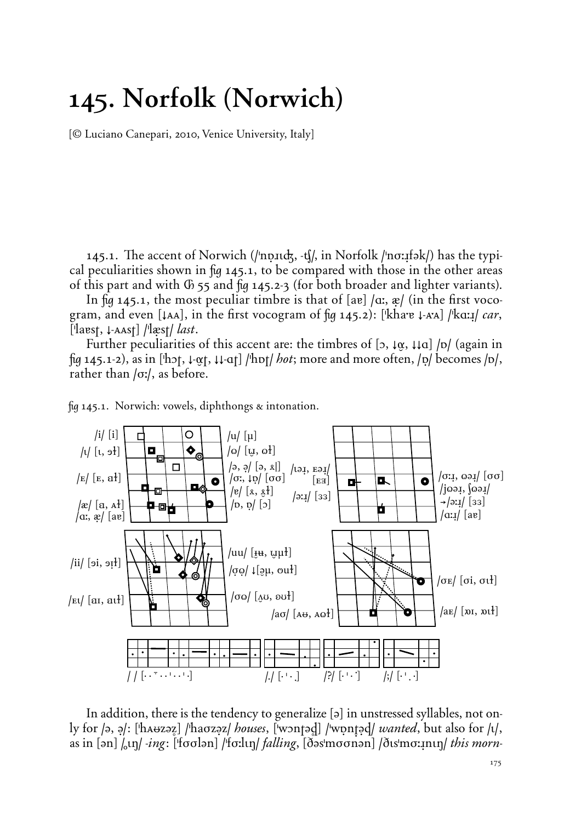## **145. Norfolk (Norwich)**

{*©* Luciano Canepari, 2010, Venice University, Italy}

145.1. The accent of Norwich (/'np.11c<del>k</del>, -t[/, in Norfolk /'no:1fək/) has the typical peculiarities shown in  $\mu$  145.1, to be compared with those in the other areas of this part and with  $G$  55 and  $f\left( q\right)$  145.2-3 (for both broader and lighter variants).

In  $\mu$  145.1, the most peculiar timbre is that of  $\alpha$  |  $\alpha$ ,  $\alpha$  | (in the first vocogram, and even  $\lceil \tan \rceil$ , in the first vocogram of  $\lceil \ln 145.2 \rceil$ :  $\lceil \text{k} \ln 2 \rceil$   $\lceil \text{k} \ln 1 \rceil$  *car*,  $\left[$ 'laest,  $\downarrow$ -AAst $\right]$  /'læst/ *last*.

Further peculiarities of this accent are: the timbres of  $\left[\right]$ ,  $\left[\phi\right]$ ,  $\left[\phi\right]$  (again in ˙ 145.1-2), as in **('hOt, ≠-***¬***t, ≠≠-At) /'hØt/** *hot*; more and more often, **/]/** becomes **/Ø/**, rather than **/ø:/**, as before.



 $\frac{1}{2}$  145.1. Norwich: vowels, diphthongs  $\alpha$  intonation.

In addition, there is the tendency to generalize [a] in unstressed syllables, not only for (a, a): ['hA⊌zaz] /'haσzaz/ *houses*, ['wontad] /'wontad/ *wanted*, but also for /ι/, as in  $\lceil \frac{1}{2} \ln \lceil \frac{1}{2} \cdot \frac{1}{2} \cdot \frac{1}{2} \cdot \frac{1}{2} \cdot \frac{1}{2} \cdot \frac{1}{2} \cdot \frac{1}{2} \cdot \frac{1}{2} \cdot \frac{1}{2} \cdot \frac{1}{2} \cdot \frac{1}{2} \cdot \frac{1}{2} \cdot \frac{1}{2} \cdot \frac{1}{2} \cdot \frac{1}{2} \cdot \frac{1}{2} \cdot \frac{1}{2} \cdot \frac{1}{2} \cdot \frac{1}{2} \cdot \frac{1}{2} \cdot \frac{1}{2} \cdot \frac{1}{2} \cdot \$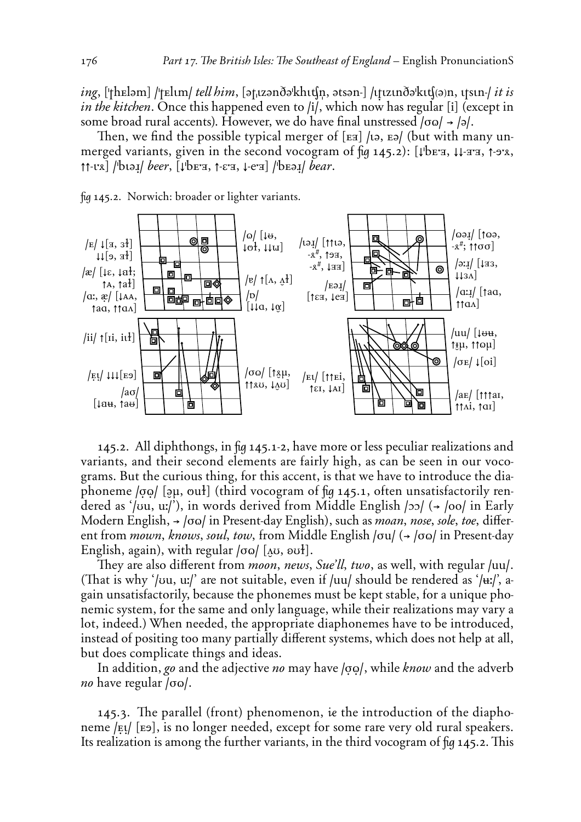*ing*, [ˈthɛləm] /ˈtɛlɪm/ *tell him*, [ətˌɪzənðəˈkhɪtʃn, ətsən-] /ɪtɪzɪnðəˈkɪtʃ(ə)n, ɪtsɪn-/ *it is* in the kitchen. Once this happened even to /i/, which now has regular [i] (except in some broad rural accents). However, we do have final unstressed  $| \sigma \omega | \rightarrow | \rightarrow |$ .

Then, we find the possible typical merger of  $[3]$  /ta,  $[3]$  (but with many unmerged variants, given in the second vocogram of fig 145.2): [VbET H. W-TT, 1-978,  $\uparrow$  [ $\downarrow$  ] / $\downarrow$  bear,  $\downarrow$   $\downarrow$  bear,  $\downarrow$  ex  $\downarrow$  ex  $\downarrow$  / $\downarrow$  bear.

fig 145.2. Norwich: broader or lighter variants.



145.2. All diphthongs, in fig 145.1-2, have more or less peculiar realizations and variants, and their second elements are fairly high, as can be seen in our vocograms. But the curious thing, for this accent, is that we have to introduce the diaphoneme  $| \circ \circ \circ |$  [au, out] (third vocogram of fig 145.1, often unsatisfactorily rendered as '/vu, u:/'), in words derived from Middle English /20/ (+ /00/ in Early Modern English,  $\rightarrow$  /00/ in Present-day English), such as *moan*, nose, sole, toe, different from mown, knows, soul, tow, from Middle English /ou/ (+ /oo/ in Present-day English, again), with regular  $|00\rangle$  [AU,  $|00\rangle$ ].

They are also different from *moon, news, Sue'll, two,* as well, with regular /uu/. (That is why '/vu, u:/' are not suitable, even if /uu/ should be rendered as '/ $\mu$ :/', again unsatisfactorily, because the phonemes must be kept stable, for a unique phonemic system, for the same and only language, while their realizations may vary a lot, indeed.) When needed, the appropriate diaphonemes have to be introduced, instead of positing too many partially different systems, which does not help at all, but does complicate things and ideas.

In addition, go and the adjective no may have  $|oo|$ , while know and the adverb *no* have regular  $/\sigma \omega$ .

145.3. The parallel (front) phenomenon, ie the introduction of the diaphoneme /Et/ [Eb], is no longer needed, except for some rare very old rural speakers. Its realization is among the further variants, in the third vocogram of fig 145.2. This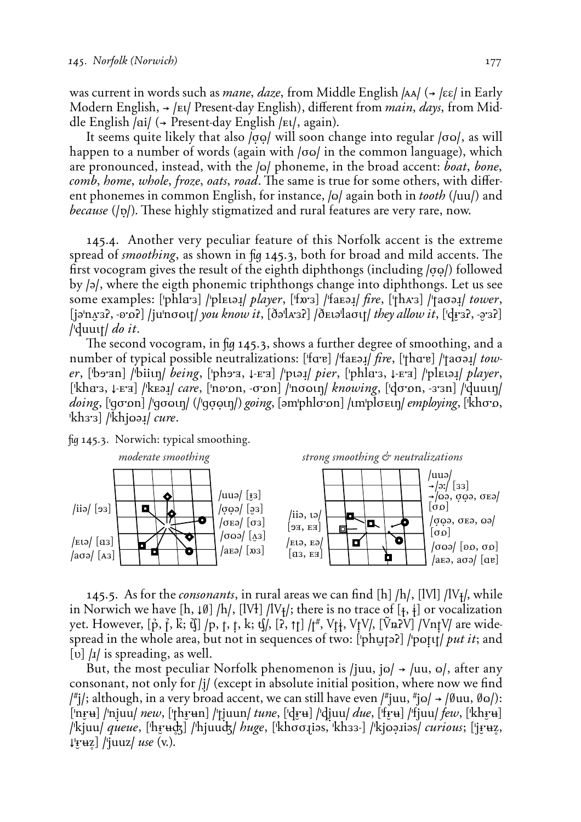was current in words such as *mane*, *daze*, from Middle English |AA/ (→ |εε| in Early Modern English, → /Et/ Present-day English), different from *main*, *days*, from Middle English /ai/ (→ Present-day English /Et/, again).

It seems quite likely that also  $\log$  will soon change into regular  $\log$ , as will happen to a number of words (again with /σω/ in the common language), which are pronounced, instead, with the  $|o|$  phoneme, in the broad accent: *boat*, *bone*, *comb*, *home*, *whole*, *froze*, *oats*, *road*. The same is true for some others, with different phonemes in common English, for instance,  $|o|$  again both in *tooth* ( $|uu|$ ) and *because* (*(*p*(*). These highly stigmatized and rural features are very rare, now.

145.4. Another very peculiar feature of this Norfolk accent is the extreme spread of *smoothing*, as shown in fig 145.3, both for broad and mild accents. The first vocogram gives the result of the eighth diphthongs (including  $\alpha$ <sup>*D*</sup>) followed by **/È/**, where the eigth phonemic triphthongs change into diphthongs. Let us see some examples: ['phla<sup>-3</sup>] /'plει*δι] player*, ['fx'3] /'faεδι*] fire*, ['thA'3] /'taσδι*] tower*,  $\left[\frac{1}{2}\ln\left(\frac{x}{3}, -\frac{y}{3}\right)\right]$  /ju $\left[\frac{1}{2}\ln\left(\frac{y}{y}\right)\right]$  *know it*,  $\left[\frac{y}{3}, -\frac{y}{3}\right]$ **/'duu¤t/** *do it*.

The second vocogram, in fig 145.3, shows a further degree of smoothing, and a number of typical possible neutralizations: ['fare] /'faεə*ː] fire*, ['thare] /'taσə*ː] tower*, ['bo'an] /'biiin/ *being*, ['pho'a, ↓-E'a] /'pioi/ *pier*, ['phla's, ↓-E'a] /'plEioi/ *player*, **('khÄ;', ≠-™;É) /'k™È≤/** *care*, **('n∏;Ön, -ø;Ön) /'nø¨¤˙/** *knowing*, **('dø;Ön, -';'n) /'duu¤˙/** *doing*, ['gσon] /'gσωιη/ (/'gσωιη/) *going*, [əm'phlσon] /ιm'plσειη/ *employing*, ['khσο, 'kh3'3] /'khjo*əs/ cure*.

fig 145.3. Norwich: typical smoothing.



145.5. As for the *consonants*, in rural areas we can find **(h) /h/**, **(l***é***l) /l***é***§/,** while in Norwich we have  $[h, \downarrow \emptyset]$  /h/,  $[IV_1]$  /l<sup> $V_1$ </sup>/; there is no trace of  $[<sub>†</sub>, \frac{1}{2}]$  or vocalization yet. However, **(∫, ÿ, Ü÷ C) /p, t, ù, k÷ c/, (ö, ±t) /t+,** *é***ù°,** *é***ù***é***/, (***–n***ö***é***)** */é***nù***é/* are widespread in the whole area, but not in sequences of two: ['phuteled] /'potit/ *put it*; and [v]  $\mu$  is spreading, as well.

But, the most peculiar Norfolk phenomenon is */juu, jo/*  $\rightarrow$  /uu, o/, after any consonant, not only for */j/* (except in absolute initial position, where now we find **/\*i/;** although, in a very broad accent, we can still have even /\*juu, \*jo/→ /Øuu, Øo/): **('n***1***;%) /'nˆuu/** *new*, **('th***1***;%n) /'tˆuun/** *tune*, **('d***1***;%) /'dˆuu/** *due*, **('f***1***;%) /'fjuu/** *few*, **('kh***1***;%) /'kjuu/** *queue*, **('h***1***;%') /'hjuuG/** *huge*, **('khøø>iÈs, 'kh''-) /'kj¨˘<iÈs/** *curious*; **('j***1***;%Ω, ≠'***1***;%Ω) /'juuz/** *use* (v.).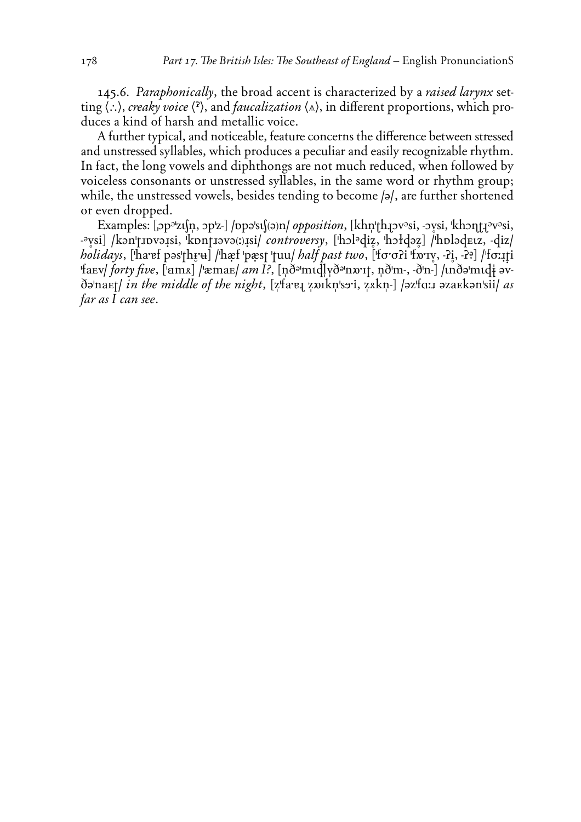145.6. Paraphonically, the broad accent is characterized by a raised larynx setting  $\langle \cdot \cdot \rangle$ , creaky voice  $\langle \cdot \rangle$ , and *faucalization*  $\langle \cdot \rangle$ , in different proportions, which produces a kind of harsh and metallic voice.

A further typical, and noticeable, feature concerns the difference between stressed and unstressed syllables, which produces a peculiar and easily recognizable rhythm. In fact, the long vowels and diphthongs are not much reduced, when followed by voiceless consonants or unstressed syllables, in the same word or rhythm group; while, the unstressed vowels, besides tending to become  $|a|$ , are further shortened or even dropped.

Examples:  $[op^{a}z1(n,op^{b}z)]$  /ppast $[ (a)n/$  *opposition*,  $[khn|th]jv^asi, -vsi,$   $[khn|t]^a v^asi,$ -aysi] /kan'tupyaisi, kpntiava(i)isi/controversy, ['holadiz, 'hołdaz] /'holadeuz, -diz/ holidays, ['haref pəs'thru] /'hæf 'pæst 'tuu/ half past two, ['fo'o?i 'fo'ry, -?i, -??] /'fo:iti fary forty five, [ams] / xmar/ am I?, [nd midlyd nary, nd m-, d'n-] / ind midt avdə'naEt/ in the middle of the night, [z'fa'e] zoikn'soi, zakn-] /əz'fa:1 əzaEkən'sii/ as far as I can see.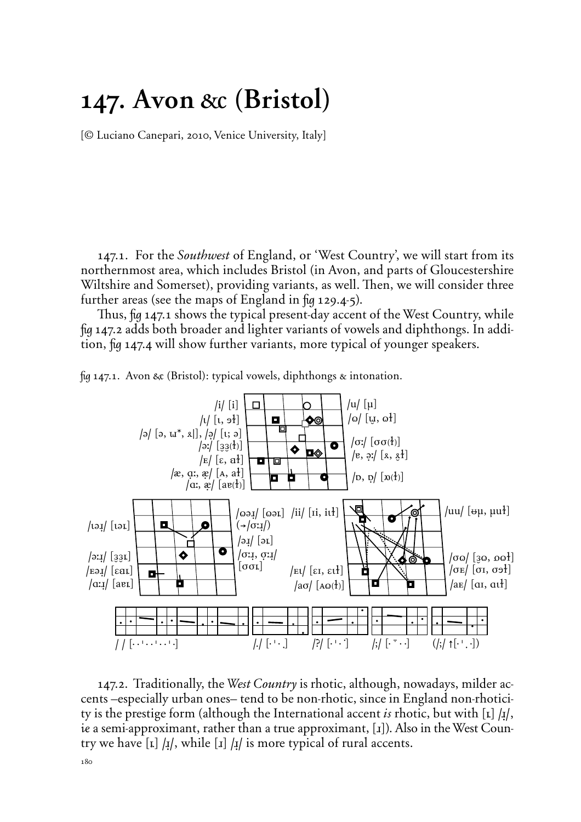#### **147.** Avon & **(Bristol)**

{*©* Luciano Canepari, 2010, Venice University, Italy}

147.1. For the *Southwest* of England, or 'West Country', we will start from its northernmost area, which includes Bristol (in Avon, and parts of Gloucestershire Wiltshire and Somerset), providing variants, as well. Then, we will consider three further areas (see the maps of England in  $\frac{1}{2}$  129.4-5).

Thus, fig 147.1 shows the typical present-day accent of the West Country, while ˙ 147.2 adds both broader and lighter variants of vowels and diphthongs. In addition, fig 147.4 will show further variants, more typical of younger speakers.



fig 147.1. Avon & (Bristol): typical vowels, diphthongs  $\alpha$  intonation.

147.2. Traditionally, the *West Country* is rhotic, although, nowadays, milder accents –especially urban ones– tend to be non-rhotic, since in England non-rhoticity is the prestige form (although the International accent *is* rhotic, but with  $\lceil \mathbf{k} \rceil / \mathbf{k}$ ), ie a semi-approximant, rather than a true approximant, [1]). Also in the West Country we have  $\begin{bmatrix} \mathbf{I} \end{bmatrix}$  / $\mathbf{I}/$ , while  $\begin{bmatrix} \mathbf{I} \end{bmatrix}$  / $\mathbf{I}/$  is more typical of rural accents.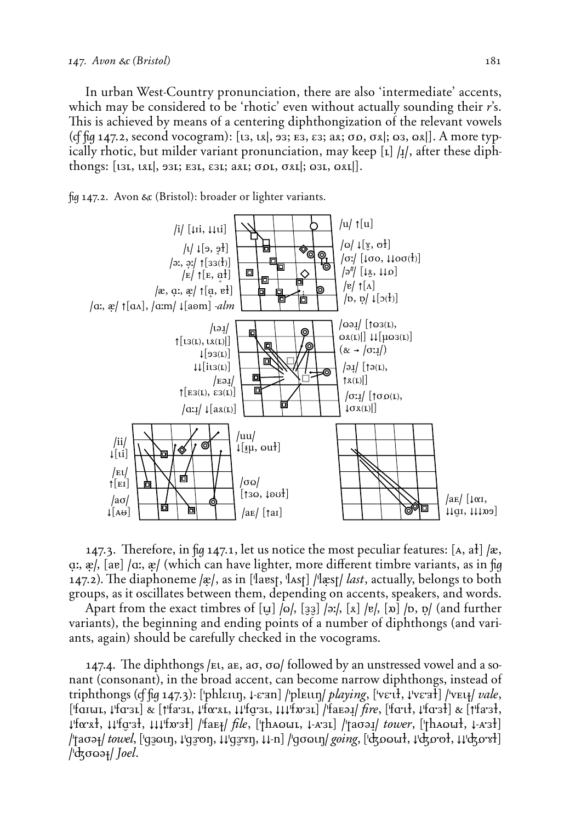In urban West-Country pronunciation, there are also 'intermediate' accents, which may be considered to be 'rhotic' even without actually sounding their *r*'s. This is achieved by means of a centering diphthongization of the relevant vowels (*cf fig* 147.2, second vocogram): [t3, tx], 93; E3, ε3; ax; σo, σx]; ω3, ωx]]. A more typically rhotic, but milder variant pronunciation, may keep [x] /x/, after these diphthongs:  $[131, 181, 931; 531, 531; 381; 001, 081]$ ;  $\omega$ 31,  $\omega$ <sup>[21]</sup>.





147.3. Therefore, in  $\frac{\ln 147.1}{\ln 147.1}$ , let us notice the most peculiar features: [A, a<del>l</del>] /x, a:, x/, [aɐ] /a:, x/ (which can have lighter, more different timbre variants, as in fig 147.2). The diaphoneme /x/, as in ['laɐst, 'lʌst] /'lxst/ *last*, actually, belongs to both groups, as it oscillates between them, depending on accents, speakers, and words.

Apart from the exact timbres of  $\begin{bmatrix} u \\ v \end{bmatrix}$  /o/,  $\begin{bmatrix} 33 \\ 27 \end{bmatrix}$  /e/,  $\begin{bmatrix} x \\ x \end{bmatrix}$  /b,  $\begin{bmatrix} y \\ y \end{bmatrix}$  (and further variants), the beginning and ending points of a number of diphthongs (and variants, again) should be carefully checked in the vocograms.

147.4. The diphthongs /ει, aε, aσ, σω/ followed by an unstressed vowel and a sonant (consonant), in the broad accent, can become narrow diphthongs, instead of triphthongs (of fig 147.3): ['phleIIn, ↓-e;an] /'pleIIn| *playing*, ['ve:u], ↓'ve;a}] /'veu<sub>l</sub>/ *vale*, **('fAI=q, ≠'fA;'q)** " **(±'fa;'q, ≠'fª;∆q, ≠≠'f***å;***'q, ≠≠≠'fñ;'q) /'fa™È≤/** *fire*, **('fA;¤ı, ≠'fA;'ı)** " **(±'fa;'ı,**  $\downarrow$ 'foxxł,  $\downarrow$ \'foː3ł,  $\downarrow\downarrow$ 'fx·3ł] /'fae<sub>ł</sub>/ *file*, ['thaout, ↓-A·3t] /'tao*əɪ/ tower*, ['thaout, ↓-A·3ł] **/'taøÈ§/** *towel*, **('g***'***¨¤˙, ≠'g***';***P˙, ≠≠'g***';X***˙, ≠≠-n) /'gø¨¤˙/** *going*, **('GÖ¨=ı, ≠'GÖ;Pı, ≠≠'GÖ;***X***ı) /'Gø¨È§/** *Joel*.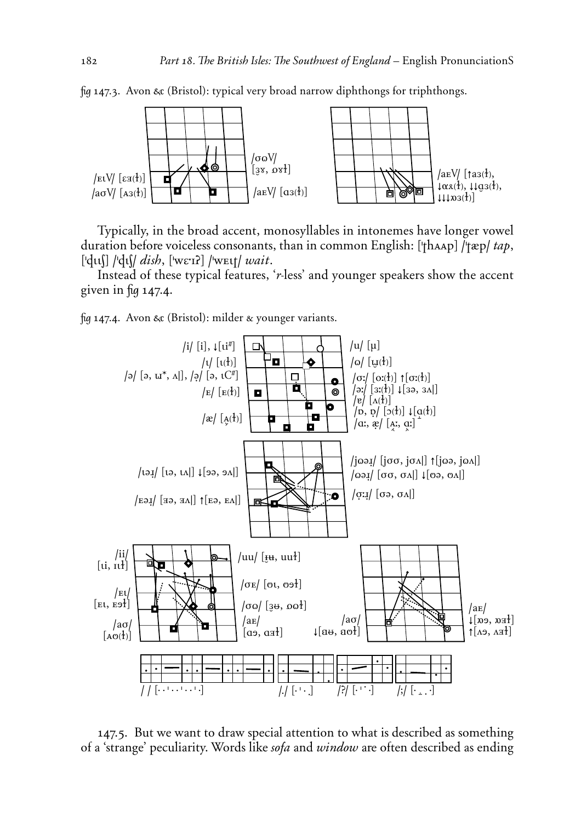

fig 147.3. Avon & (Bristol): typical very broad narrow diphthongs for triphthongs.

Typically, in the broad accent, monosyllables in intonemes have longer vowel duration before voiceless consonants, than in common English: ['thAAp] /'tæp/ *tap*,  $\left[\text{d}u\right]$  / $\text{d}u\right/$  *dish*,  $\left[\text{werl}\right]$  / $\text{werl}$  *wait.* 

Instead of these typical features, '*r*-less' and younger speakers show the accent given in  $\frac{6}{9}$  147.4.

fig 147.4. Avon & (Bristol): milder  $\alpha$  younger variants.



147.5. But we want to draw special attention to what is described as something of a 'strange' peculiarity. Words like *sofa* and *window* are often described as ending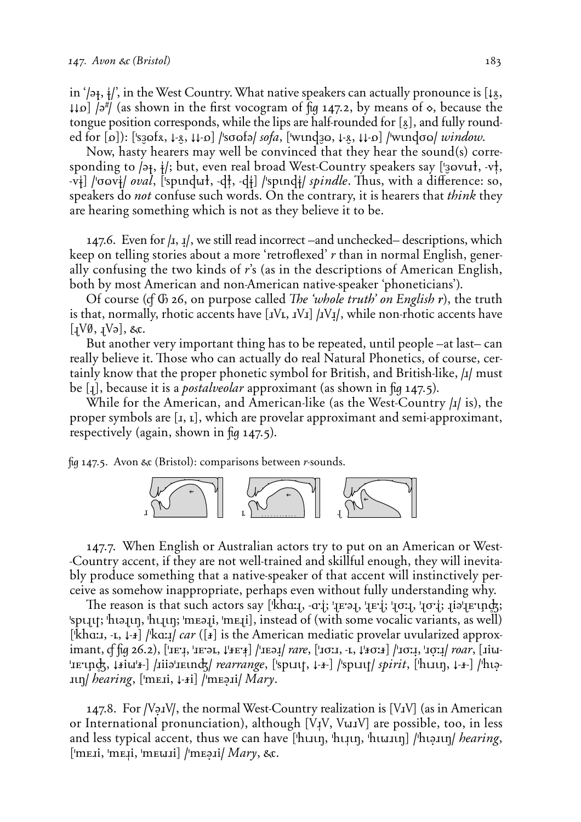in '/ə<sub>t</sub>,  $\frac{1}{4}$ ', in the West Country. What native speakers can actually pronounce is [↓<u>&</u>, **≠≠Ö) /È+/** (as shown in the first vocogram of ˙ 147.2, by means of ◊, because the tongue position corresponds, while the lips are half-rounded for [8], and fully rounded for [o]): ['s30fx, ↓-x, ↓↓-o] /'soofə/ *sofa*, ['wund30, ↓-x, ↓↓-o] /'wundoo/ *window*.

Now, hasty hearers may well be convinced that they hear the sound(s) corresponding to  $\left( \frac{1}{7}, \frac{1}{7} \right)$ ; but, even real broad West-Country speakers say ['*zovurl, -vl*, -v<sup>\*</sup>] /'oov\*/ *oval*, ['spindut, -d\*], -d\*] /'spind\*/ *spindle*. Thus, with a difference: so, speakers do *not* confuse such words. On the contrary, it is hearers that *think* they are hearing something which is not as they believe it to be.

147.6. Even for  $|1, 1|$ , we still read incorrect –and unchecked– descriptions, which keep on telling stories about a more 'retroflexed' *r* than in normal English, generally confusing the two kinds of *r*'s (as in the descriptions of American English, both by most American and non-American native-speaker 'phoneticians').

Of course (of G 26, on purpose called *The 'whole truth' on English r*), the truth is that, normally, rhotic accents have [*iVt, IVI*] /*IVI*/, while non-rhotic accents have  $[IV\emptyset, IV\Theta], \&c.$ 

But another very important thing has to be repeated, until people –at last– can really believe it. Those who can actually do real Natural Phonetics, of course, certainly know that the proper phonetic symbol for British, and British-like, **/</** must be [1], because it is a *postalveolar* approximant (as shown in fig 147.5).

While for the American, and American-like (as the West-Country  $\mu$  is), the proper symbols are [*i*, *i*], which are provelar approximant and semi-approximant, respectively (again, shown in  $\mu$  147.5).

˙ 147.5. Avon Æ (Bristol): comparisons between *r*-sounds.



147.7. When English or Australian actors try to put on an American or West--Country accent, if they are not well-trained and skillful enough, they will inevitably produce something that a native-speaker of that accent will instinctively perceive as somehow inappropriate, perhaps even without fully understanding why.

The reason is that such actors say ['khɑːɪ, -ɑːiːː]: 'ɪɐːəɪ, 'ɪɐːiːː]: 'ɪoːɪ, 'ɪoːiːː ɪiə'ɪɐːundːː 'spuut; 'huaun, 'huun; 'meaui, 'meui], instead of (with some vocalic variants, as well) ['kha:**I**, -**I**, ↓-*I*} /'ka:I*| car* ([*I*] is the American mediatic provelar uvularized approx- $\lim_{x \to \infty}$   $\int_{0}^{x} \frac{f(q(26.2), [T_{\text{E}}^{1}, T_{\text{E}}^{1}, T_{\text{E}}^{1}, T_{\text{E}}^{1}, T_{\text{E}}^{1}, T_{\text{E}}^{1}, T_{\text{E}}^{1}, T_{\text{E}}^{1}, T_{\text{E}}^{1}, T_{\text{E}}^{1}, T_{\text{E}}^{1}, T_{\text{E}}^{1}, T_{\text{E}}^{1}, T_{\text{E}}^{1}, T_{\text{E}}^{1}, T_{\text{E}}^{1}, T_{\text{E}}^{1}, T_{\text{E}}^{1}, T_{\text{E}}$  $\liminf_{x \to \infty}$   $\lim_{x \to \infty}$  /iiiə $\lim_{x \to \infty}$  /  $\limsup_{x \to \infty}$   $\limsup_{x \to \infty}$  /  $\limsup_{x \to \infty}$  / $\limsup_{x \to \infty}$  / $\limsup_{x \to \infty}$  $\sup$  *hearing*,  $[\text{mE}, \downarrow \text{F}]$  /'meall *Mary*.

147.8. For */é***˘<***é/*, the normal West-Country realization is **(***é***<***é***)** (as in American or International pronunciation), although **(***é***≥***é***,** *é***=<***é***)** are possible, too, in less and less typical accent, thus we can have ['huɪn, 'hɪɪn, 'hɪuɪn] /'hɪəɪɪn/ *hearing*, **('m™<i, 'm™≥i, 'm™=<i) /'m™˘<i/** *Mary*, Æ.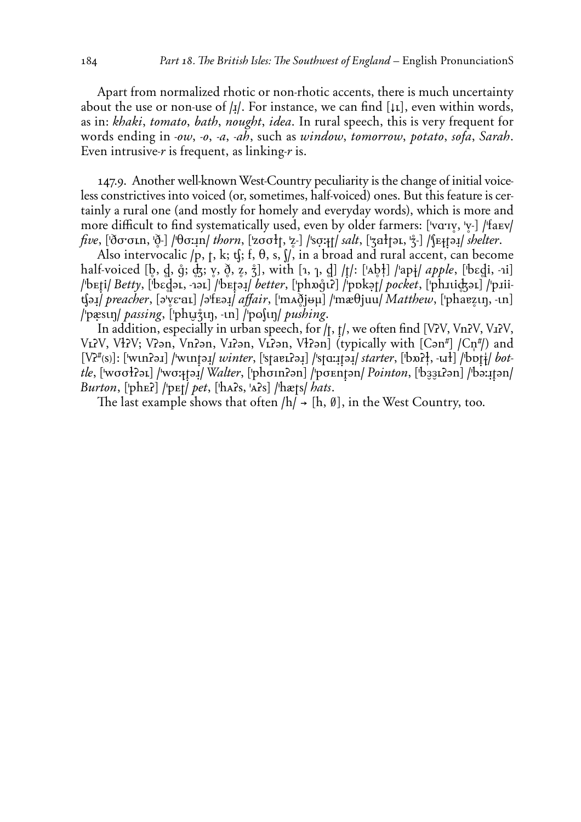Apart from normalized rhotic or non-rhotic accents, there is much uncertainty about the use or non-use of **/≤/**. For instance, we can find **(≠q)**, even within words, as in: *khaki*, *tomato*, *bath*, *nought*, *idea*. In rural speech, this is very frequent for words ending in *-ow*, *-o*, *-a*, *-ah*, such as *window*, *tomorrow*, *potato*, *sofa*, *Sarah*. Even intrusive-*r* is frequent, as linking-*r* is.

147.9. Another well-known West-Country peculiarity is the change of initial voiceless constrictives into voiced (or, sometimes, half-voiced) ones. But this feature is certainly a rural one (and mostly for homely and everyday words), which is more and more difficult to find systematically used, even by older farmers: ['vɑːɪv, 'v-] /'faɛv/  $five$ ,  $[\delta\sigma\sigma\tau\tau\tau\tau\tau\delta\tau]$  / $\theta\sigma\tau\tau\tau\tau$ / *thorn*,  $[\text{z}\sigma\sigma\tau\tau\tau\tau\tau\tau\gamma\delta\tau]$  /so $\tau\tau\tau\tau\tau\gamma\delta\tau\tau\gamma\delta\tau$  / $\eta\tau\tau\tau\gamma\delta\tau\gamma\delta\tau\gamma\delta\tau$ 

Also intervocalic  $/p$ ,  $t$ ,  $k$ ;  $t$ <sub>i</sub>;  $f$ ,  $\theta$ ,  $s$ ,  $\int$ , in a broad and rural accent, can become half-voiced [b, d, ĝ; dz; v,  $\delta$ , z,  $\dot{z}$ ], with [1, 1, d] /t/: ['Ab<sup>1</sup>] /'ap+/ *apple*, ['bɛd̪i, -1i] **/'b™ùi/** *Betty*, **('bEflÈq, -4Èq) /'b™ùÈ≤/** *better*, **('phñŸ¤ö) /'pØk˘t/** *pocket*, **('ph<¤i'Èq) /'p<iii**(baj) preacher, [əˈv̥ɛːaɪ] /əˈfɛəɪ̯] affair, [ˈmʌð̯jʉµ] /ˈmæθjuu/ *Matthew*, [ˈphaɐz̯ɪŋ, -ɪn] **/'pXs¤˙/** *passing*, **('ph***û***ˤ˙, -¤n) /'p¨S¤˙/** *pushing*.

In addition, especially in urban speech, for /t, t/, we often find [V?V, Vn?V, V1?V, VLPV, VHPV; VPan, VnPan, V1Pan, VLPan, VHPan] (typically with [Can#] /Cn#/) and **(***é***ö+úsû)**: **('w¤nöÈ<) /'w¤nùÈ≤/** *winter*, **('staåqöÈ≤) /'stA:≤ùÈ≤/** *starter*, **('bñö®, -=ı) /'bØù°/** *bottle*, **('wøøıöÈq) /'wø:§ùÈ≤/** *Walter*, **('phøInöÈn) /'pø™nùÈn/** *Pointon*, **('b***''***qöÈn) /'bÈ:≤ùÈn/** *Burton*, **('ph™ö) /'p™t/** *pet*, **('hÅös, 'Åös) /'hxts/** *hats*.

The last example shows that often  $/h$   $\rightarrow$   $[h, \emptyset]$ , in the West Country, too.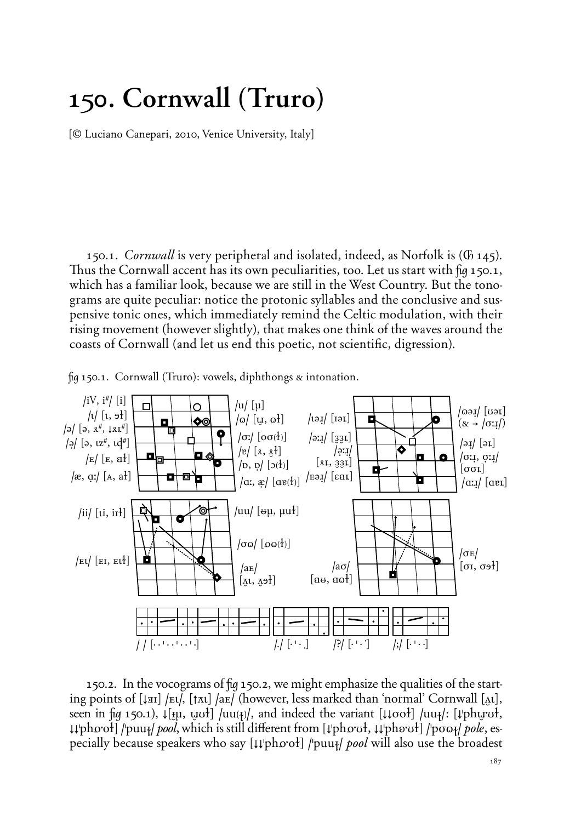## **150. Cornwall (Truro)**

{*©* Luciano Canepari, 2010, Venice University, Italy}

150.1. *Cornwall* is very peripheral and isolated, indeed, as Norfolk is (Ã 145). Thus the Cornwall accent has its own peculiarities, too. Let us start with  $\mu$  150.1, which has a familiar look, because we are still in the West Country. But the tonograms are quite peculiar: notice the protonic syllables and the conclusive and suspensive tonic ones, which immediately remind the Celtic modulation, with their rising movement (however slightly), that makes one think of the waves around the coasts of Cornwall (and let us end this poetic, not scientific, digression).



 $\frac{1}{2}$  150.1. Cornwall (Truro): vowels, diphthongs & intonation.

150.2. In the vocograms of fig 150.2, we might emphasize the qualities of the starting points of **(≠ÉI) /™¤/, (±***∏***¤) /a™/** (however, less marked than 'normal' Cornwall **(◊¤)**, seen in  $[\mu]$  150.1),  $\downarrow$ [ $[\mu]$ ,  $[\mu]$  $\downarrow$   $[\mu]$  /uu $\downarrow$ }, and indeed the variant  $[\downarrow \downarrow \text{ord}]$  /uu $\downarrow$ /:  $[\downarrow \text{ph} \mu \text{vol}]$ , **≠≠'phÖ;oı) /'puu§/** *pool*, which is still di‡erent from **(≠'phÖ;Uı, ≠≠'ph∏;Uı) /'pø¨§/** *pole*, especially because speakers who say [ $\downarrow \downarrow \downarrow$ phoot] /'puu<sub>t</sub>/ *pool* will also use the broadest

**/ / (2 2 ' 2 2 ' 2 2 ' 2) /./ (2 ' 2 3) /?/ (2 ' 2 1) /÷/ (2 ' 2 2)**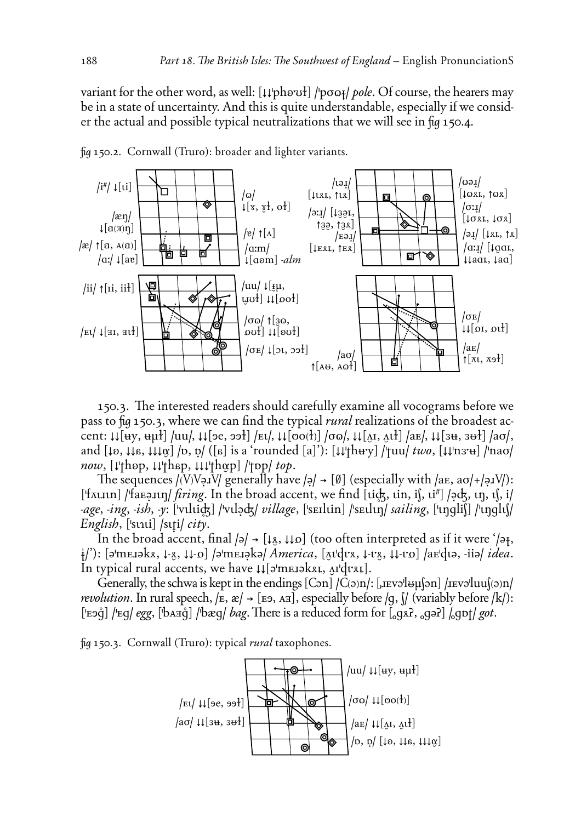variant for the other word, as well: [↓↓'phovol] /'poo<sub>l</sub> *pole*. Of course, the hearers may be in a state of uncertainty. And this is quite understandable, especially if we consider the actual and possible typical neutralizations that we will see in fig 150.4.



˙ 150.2. Cornwall (Truro): broader and lighter variants.

150.3. The interested readers should carefully examine all vocograms before we pass to fig 150.3, where we can find the typical *rural* realizations of the broadest accent:  $\mu$ [ $\mu$ y,  $\mu$ µł] /uu/,  $\mu$ [ $\sigma$ e,  $\sigma$ <sup>]</sup>] / $\mu$ [/,  $\mu$ [ $\sigma$ o( $\tau$ )] / $\sigma$ o/,  $\mu$ [ $\mu$ ],  $\mu$  $\sigma$ ],  $\mu$ [ $\sigma$ ],  $\sigma$ /,  $\mu$ [ $\sigma$ /,  $\mu$ ] / $\sigma$ /,  $\mu$ and **(≠∏, ≠≠∏, ≠≠≠***¬***) /Ø, ]/** (**(∏)** is a 'rounded **(a)**'): **(≠≠'th%;y) /'tuu/** *two*, **(≠≠'n';%) /'naø/** *now*, **(≠'th∏p, ≠≠'th∏p, ≠≠≠'th***¬***p) /'tØp/** *top*.

The sequences  $/(V)$ V $\varphi$ **I**V $/$  generally have  $/\varphi$   $\rightarrow$  [Ø] (especially with  $/\varphi$ **E**, a $\sigma$  $/$ + $/\varphi$ **I**V $/$ ): ['f*⊼*uIth] /'faE?Ith] *firing*. In the broad accent, we find [tick, tin, i∫, ti<sup>#</sup>] /?ck, tŋ, tʃ, i/ *-age˚ -ing˚ -ish˚ -y*: **('v¤l¤i') /'v¤l˘G/** *village*, **('s™Il¤in) /'s™¤l¤˙/** *sailing*, **('¤˙gliS) /'¤˙gl¤S/** *English*, **('s¤4¤i) /s¤ùi/** *city*.

In the broad accent, final  $|\psi\rangle \rightarrow [\downarrow g, \downarrow \downarrow o]$  (too often interpreted as if it were ' $|\psi\rangle$ , **°/**'): **(È'm™<Èk∆, ≠-º, ≠≠-Ö) /È'm™<˘kÈ/** *America*, **(***©***¤'d¤;∆, ≠-¤;º, ≠≠-¤;Ö) /a™'d¤È, -iiÈ/** *idea*. In typical rural accents, we have  $\mu$ [ə'mEIəkxı, ^I'duxı].

Generally, the schwa is kept in the endings  $[Can]/C(\varphi)n$ :  $[..]$   $[..]$   $[..]$   $[..]$  $[..]$  $[..]$  $[..]$ *revolution*. In rural speech,  $/k$ ,  $\mathcal{R}$   $\rightarrow$  [E9, A<sub>II</sub>], especially before  $/q$ ,  $\mathcal{V}$  (variably before  $/k$ ):  $[$ "Eaq̃] /'Eq/ *egg*,  $[$ 'bAaq̃] /'bæq/ *bag*. There is a reduced form for  $[$ <sub>o</sub>gxʔ, <sub>o</sub>gəʔ] /<sub>o</sub>got/ *got*.

˙ 150.3. Cornwall (Truro): typical *rural* taxophones.

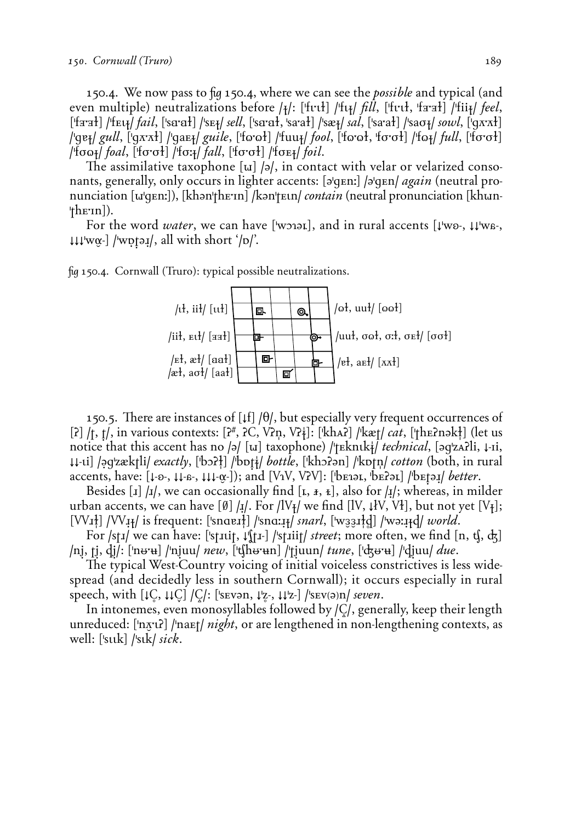150.4. We now pass to fig 150.4, where we can see the *possible* and typical (and even multiple) neutralizations before **/§/**: **('f¤;¤ı) /'f¤§/** *fill*, **('f¤;¤ı, 'fÉ;Éı) /'fii§/** *feel*,  $[$ 'fa·ał] /'fɛʁ*| fail*, ['sa·ał] /'sɛɟ/ *sell*, ['sa·ał, 'sa·ał] /'sæɟ/ *sal*, ['sa·ał] /'saσɟ/ *sowl*, ['q*x*·xł] **/'gå§/** *gull*, **('g***∏;∏***ı) /'ga™§/** *guile*, **('f¨;¨ı) /'fuu§/** *fool*, **('f¨;¨ı, 'fø;øı) /'f¨§/** *full*, **('fø;øı) /'fø¨§/** *foal*, **('fø;øı) /'fø:§/** *fall*, **('fø;øı) /'fø™§/** *foil*.

The assimilative taxophone  $\lceil u \rceil / \lceil d \rceil$ , in contact with velar or velarized consonants, generally, only occurs in lighter accents: [ə'qɛnː] /ə'qɛn/ *again* (neutral pronunciation [w|qEn:]), [khən|thE<sup>rn]</sup> /kən|tEtn/ *contain* (neutral pronunciation [khun-**'th™;In)**).

For the word *water*, we can have ['wɔiəɪ], and in rural accents [↓'wo-, ↓↓'wa-, **≠≠≠'w***¬***-) /'w]ùÈ≤/**, all with short '**/Ø/**'.



˙ 150.4. Cornwall (Truro): typical possible neutralizations.

150.5. There are instances of  $[\lfloor f \rfloor / \theta$ , but especially very frequent occurrences of **(ö) /t, ù/**, in various contexts: **(ö+, ö***0***,** *é***öó,** *é***ö°)**: **('khÅö) /'kxt/** *cat*, **('th™önÈk®)** (let us notice that this accent has no **/**ə/ [u] taxophone) /'†Ekntk‡/ *technical*, [əq'zʌzʔli, ↓-ii, **≠≠-¤i) /˘g'zxktli/** *exactly*, **('bOö®) /'bØù°/** *bottle*, **('khOöÈn) /'kØtó/** *cotton* (both, in rural accents, have:  $[\downarrow\text{-}o_-, \downarrow\downarrow\text{-}a_-, \downarrow\downarrow\downarrow\text{-}a_+]$ ; and  $[\text{V}_1\text{V}, \text{V}_2\text{V}]$ :  $[\text{b}$ E1 $\text{b}$ <sub>E</sub>,  $\text{b}$ E1 $\text{b}$ <sub>E</sub>) / $\text{b}$ E1 $\text{b}$ <sub>E1</sub> *better*.

Besides [1]  $\vert \mathbf{1} \vert$ , we can occasionally find [t,  $\mathbf{1}, \mathbf{1}, \mathbf{1}$ ], also for  $\vert \mathbf{1} \vert$ ; whereas, in milder urban accents, we can have  $[\emptyset]$  / $\mathbf{I}/\mathbf{I}$ . For /lV $\mathbf{I}/\mathbf{I}$  we find [IV,  $\mathbf{I}/\mathbf{V}$ , V $\mathbf{I}$ ], but not yet [V $\mathbf{I}$ ];  $[VV_{11}]$   $/VV_{11}$  is frequent: ['snaert] /'snarl,  $[$ 'wazrtd] /'wərrtd/ $|$  *world*.

For /st<sub>I</sub>/ we can have: ['st<sub>III</sub>, ↓''<sub>III</sub>, ] /'st<sub>III</sub>| *street*; more often, we find [n, t ], d }] **/nˆ, tˆ, dˆ/**: **('nÏ;%) /'nˆuu/** *new*, **('chÏ;%n) /'tˆuun/** *tune*, **('GÏ;%) /'dˆuu/** *due*.

The typical West-Country voicing of initial voiceless constrictives is less widespread (and decidedly less in southern Cornwall); it occurs especially in rural speech, with  $[\downarrow \text{C}, \downarrow \downarrow \text{C}] / C$ : ['s **Evaluation**,  $\downarrow \downarrow \text{Z}$ -,  $\downarrow \downarrow \downarrow \text{Z}$ -] /'s **Evaluation** *seven*.

In intonemes, even monosyllables followed by **/***=***/**, generally, keep their length unreduced: ['nʌ̪ːuː] /'naɛt/ *night*, or are lengthened in non-lengthening contexts, as well: **('s¤¤k) /'s¤k/** *sick*.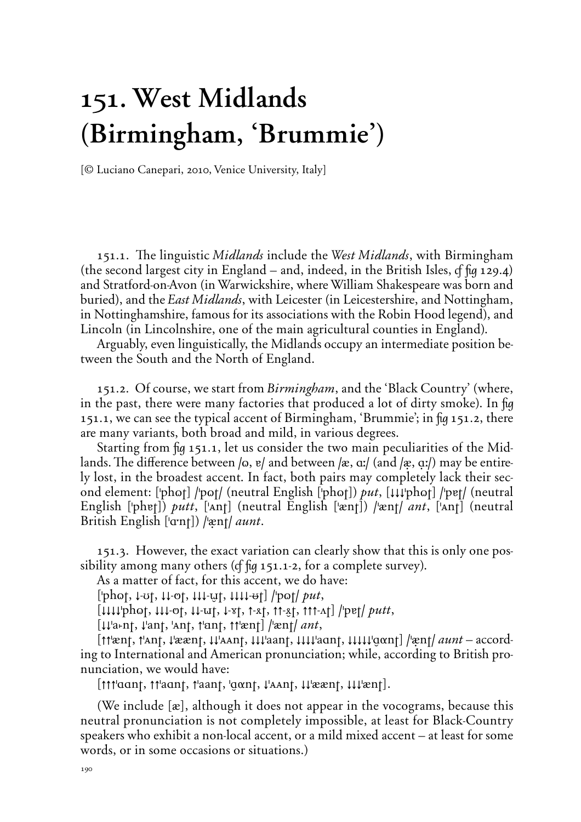# **151. West Midlands (Birmingham, 'Brummie')**

{*©* Luciano Canepari, 2010, Venice University, Italy}

151.1. The linguistic *Midlands* include the *West Midlands*, with Birmingham (the second largest city in England – and, indeed, in the British Isles,  $\sigma$   $\pi$   $\mu$  129.4) and Stratford-on-Avon (in Warwickshire, where William Shakespeare was born and buried), and the *East Midlands*, with Leicester (in Leicestershire, and Nottingham, in Nottinghamshire, famous for its associations with the Robin Hood legend), and Lincoln (in Lincolnshire, one of the main agricultural counties in England).

Arguably, even linguistically, the Midlands occupy an intermediate position between the South and the North of England.

151.2. Of course, we start from *Birmingham*, and the 'Black Country' (where, in the past, there were many factories that produced a lot of dirty smoke). In fig 151.1, we can see the typical accent of Birmingham, 'Brummie'; in  $\mu$  151.2, there are many variants, both broad and mild, in various degrees.

Starting from  $\frac{1}{9}$  151.1, let us consider the two main peculiarities of the Midlands. The difference between  $\vert \omega, v \vert$  and between  $\vert x, \alpha \vert$  (and  $\vert x, \alpha \vert$ ) may be entirely lost, in the broadest accent. In fact, both pairs may completely lack their second element: ['phot] /'pot/ (neutral English ['phot]) *put*, [##'phot] /'pet/ (neutral English ['phɐ]) *putt*, ['Ant] (neutral English ['ænt]) /'ænt/ *ant*, ['Ant] (neutral British English ['a<sup>nt</sup>]) /'ænt/ *aunt*.

151.3. However, the exact variation can clearly show that this is only one possibility among many others ( $f$   $f$  $q$  151.1-2, for a complete survey).

As a matter of fact, for this accent, we do have:

**('ph¨t, ≠-Ut, ≠≠-Pt, ≠≠≠-***û***t, ≠≠≠≠-Ït) /'p¨t/** *put*,

**(≠≠≠≠'ph¨t, ≠≠≠-Pt, ≠≠-=t, ≠-***X***t, ±-∆t, ±±-ºt, ±±±-√t) /'påt/** *putt*,

**(≠≠'a***æ***nt, ≠'ant, 'Ånt, ±'Änt, ±±'xnt) /'xnt/** *ant*,

**(±±'xnt, ±'Ånt, ≠'xxnt, ≠≠'ÅÅnt, ≠≠≠'aant, ≠≠≠≠'aAnt, ≠≠≠≠≠'***å***ªnt) /'Xnt/** *aunt* – according to International and American pronunciation; while, according to British pronunciation, we would have:

**(±±±'AAnt, ±±'aAnt, ±'aant, '***å***ªnt, ≠'ÅÅnt, ≠≠'xxnt, ≠≠≠'xnt)**.

(We include **(x)**, although it does not appear in the vocograms, because this neutral pronunciation is not completely impossible, at least for Black-Country speakers who exhibit a non-local accent, or a mild mixed accent – at least for some words, or in some occasions or situations.)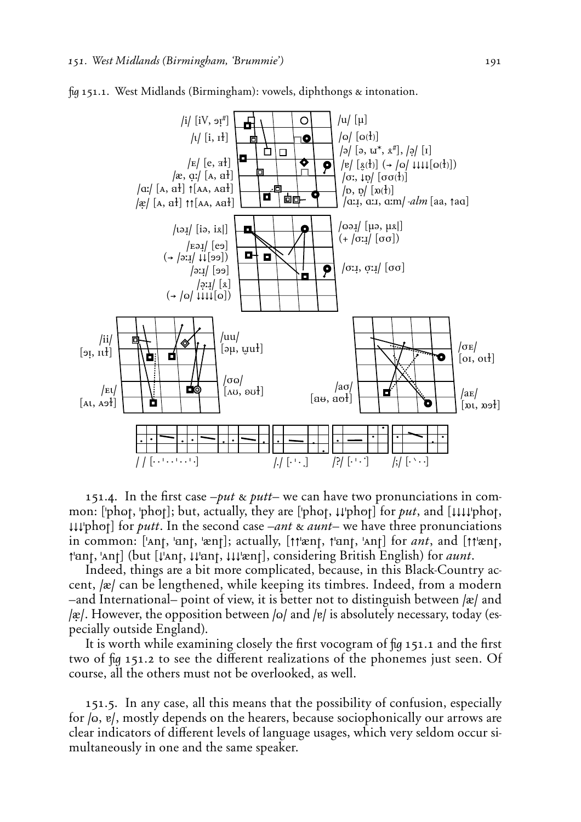

 $\frac{1}{2}$  fig 151.1. West Midlands (Birmingham): vowels, diphthongs  $\alpha$  intonation.

151.4. In the first case  $-put \& putt$  we can have two pronunciations in common: ['phot, 'phot]; but, actually, they are ['phot,  $\mu$ 'phot] for *put*, and [ $\mu\mu\psi$ hot,  $\downarrow\downarrow\downarrow\downarrow$ 'phot] for *putt*. In the second case –*ant*  $\&$  *aunt*– we have three pronunciations in common: ['Ant, 'ant, 'ænt]; actually, [tt'ænt, t'ant, 'Ant] for *ant*, and [tt'ænt, **±'Änt, 'Ånt)** (but **(≠'Ånt, ≠≠'Änt, ≠≠≠'xnt)**, considering British English) for *aunt*.

Indeed, things are a bit more complicated, because, in this Black-Country accent, **/x/** can be lengthened, while keeping its timbres. Indeed, from a modern –and International– point of view, it is better not to distinguish between **/x/** and **/x/.** However, the opposition between /o/ and /v/ is absolutely necessary, today (especially outside England).

It is worth while examining closely the first vocogram of  $\mu$  151.1 and the first two of fig 151.2 to see the different realizations of the phonemes just seen. Of course, all the others must not be overlooked, as well.

151.5. In any case, all this means that the possibility of confusion, especially for /o, e/, mostly depends on the hearers, because sociophonically our arrows are clear indicators of different levels of language usages, which very seldom occur simultaneously in one and the same speaker.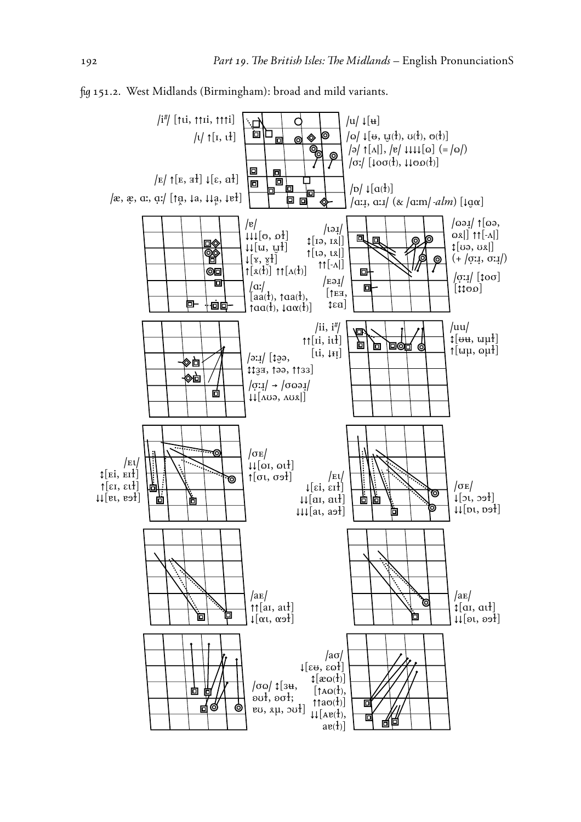

˙ 151.2. West Midlands (Birmingham): broad and mild variants.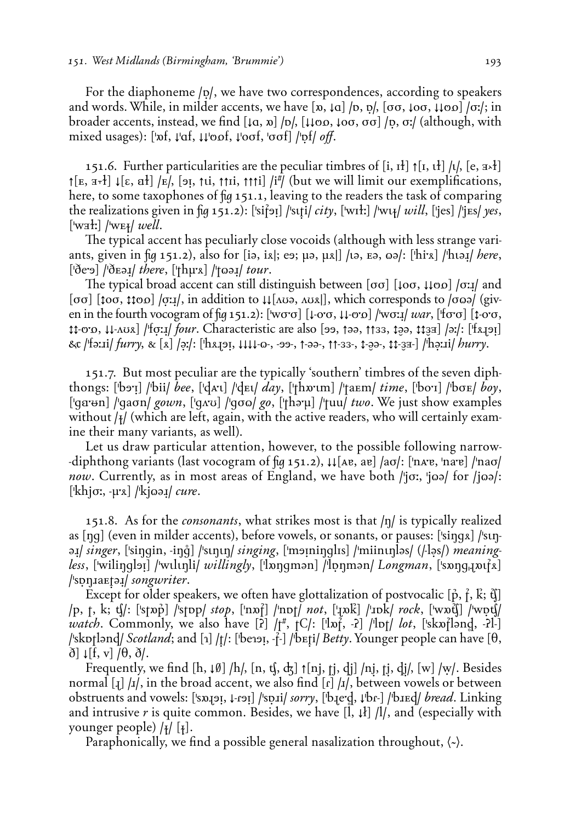For the diaphoneme /p/, we have two correspondences, according to speakers and words. While, in milder accents, we have  $[\infty, \iota]$  / $[\infty, \iota]$ ,  $[\infty, \iota]$  oo,  $\iota$  $[\infty]$  / $\sigma$ :/; in broader accents, instead, we find  $[\downarrow a, \uparrow b]$ ,  $[\downarrow \downarrow \circ \circ, \downarrow \circ \circ]$  /p,  $\sigma$ */* (although, with mixed usages):  $[\nabla f, \psi]$ af,  $\psi$ oof,  $\phi$ of, ' $\sigma$ of]  $/\nabla f$ *off.* 

151.6. Further particularities are the peculiar timbres of  $[i, i]$   $\uparrow$   $[i, i]$   $\downarrow$ ,  $[e, \pm \frac{1}{2}]$  $\lceil K_{\mathbb{E}} \rceil$ ,  $\lceil K_{\mathbb{E}} \rceil$ ,  $\lceil \frac{1}{2} \rceil$ ,  $\lceil \frac{1}{2} \rceil$ ,  $\lceil \frac{1}{2} \rceil$  (but we will limit our exemplifications, here, to some taxophones of fig 151.1, leaving to the readers the task of comparing the realizations given in  $\pi$  151.2): ['si{oti] /'stti/ *city*, ['witt] /'wik| *will*, ['jes] /'jEs/ *yes*,  $\lceil \text{waf} \rceil / \text{wef} / \text{well}.$ 

The typical accent has peculiarly close vocoids (although with less strange variants, given in fig 151.2), also for [iə, ix]; eə; µə, µx|] /ɪə, ɛə, oə/: [ˈhiːx] /ˈhɪə*ɪ/ here*, **('∑e;Ù) /'∑™È≤/** *there*, **('th¯;∆) /'t¨È≤/** *tour*.

The typical broad accent can still distinguish between  $\lceil \sigma \sigma \rceil$   $\lceil \downarrow \sigma \sigma, \downarrow \downarrow \sigma \sigma \rceil$  / $\sigma$ : $\downarrow$  and **(øø) (˝oø, ˝˝PÖ) /r:≤/**, in addition to **≠≠(√UÈ, √U∆|)**, which corresponds to **/ø¨È/** (given in the fourth vocogram of  $\pi$  151.2):  $[\text{word}](\text{loop} + \text{odd})$  /wo: $\pi$ / *war*,  $[\text{for} \sigma]$   $[\text{loop} + \text{odd}]$ **˝˝-P;Ö, ≠≠-√U∆) /'fr:≤/** *four*. Characteristic are also **(ÙÙ, ±ÈÈ, ±±'', ˝***È***È, ˝˝***'***É) /È:/**: **('f∆>ÙÛ)** Æ **/'fÈ:<i/** *furry˚* " **(∆) /˘:/**: **('h∆>ÙÛ, ≠≠≠≠-¨-, -ÙÙ-, ±-ÈÈ-, ±±-''-, ˝-***È***È-, ˝˝-***'***É-) /'h˘:<i/** *hurry*.

151.7. But most peculiar are the typically 'southern' timbres of the seven diphthongs: **('bÙ;Û) /'bii/** *bee*, **('dÅ;¤) /'d™¤/** *day*, **('thñ;¤m) /'ta™m/** *time*, **('bo;I) /'bø™/** *boy*, ['qa· + n] /'qaσn/ *gown*, ['q*x*· u] /'qσω/ *go*, ['thə· μ] /'tuu/ *two*. We just show examples without / $\frac{1}{4}$  (which are left, again, with the active readers, who will certainly examine their many variants, as well).

Let us draw particular attention, however, to the possible following narrow- **-diphthong variants (last vocogram of fig 151.2), ↓↓**[Ae, ae] /aσ/: ['nAre, 'nare] /'naσ/ *now*. Currently, as in most areas of England, we have both */'jo:*, 'joa/ for /joa/: **('khjø:, -¯;∆) /'kj¨È≤/** *cure*.

151.8. As for the *consonants*, what strikes most is that  $/\eta$  is typically realized as **(˙g)** (even in milder accents), before vowels, or sonants, or pauses: **('si˙g∆) /'s¤˙-**  $\frac{1}{2}$  *singer*, ['singin, -inq'] /'sunun/ *singing*, ['moininglis] /'miinunləs/ (/-ləs/) *meaningless*, ['wilingləɪ] /'wulunli/ *willingly*, ['lɒnqmən] /'lpnmən/ *Longman*, ['sɒnq<sub>i</sub>nut}x] **/'s]˙<a™ùÈ≤/** *songwriter*.

Except for older speakers, we often have glottalization of postvocalic [ $\hat{p}$ ,  $\hat{f}$ ,  $\hat{k}$ ;  $\hat{q}$ ] **/p, t, k÷ c/**: **('stñ∫) /'stØp/** *stop*, **('nñÿ) /'nØt/** *not*, **('>ñÜ) /'<Øk/** *rock*, **('wñC) /'w]c/** *watch*. Commonly, we also have  $[\overline{2}]$  / $\uparrow$ #,  $[\overline{C}/:$   $[\overline{I}]\overline{D}$ , - $[\overline{I}]\overline{D}$  / $\uparrow$  / $\downarrow$  / $\downarrow$  / $\downarrow$  / $\downarrow$  / $\downarrow$  / $\downarrow$  / $\downarrow$  / $\downarrow$  / $\downarrow$  / $\downarrow$  / $\downarrow$  / $\downarrow$  / $\downarrow$  / $\downarrow$  / $\downarrow$  / $\downarrow$  / $\downarrow$  / $\$ **/'skØtlÈnd/** *Scotland*; and **(4) /ù/**: **('be4ÙÛ, -ÿ-) /'b™ùi/** *Betty*. Younger people can have **(†,**  $\delta$ ]  $\downarrow$ [f, v]  $\theta$ ,  $\delta$  $\theta$ .

Frequently, we find  $[h, \downarrow \emptyset]$  /h/,  $[n, \downarrow \downarrow \downarrow \uparrow[n], \uparrow j$ ,  $\downarrow \downarrow \downarrow \downarrow$ ,  $\downarrow \downarrow \downarrow$ ,  $\downarrow \downarrow \downarrow \downarrow$ , Besides normal [1] /1/, in the broad accent, we also find [r] /1/, between vowels or between obstruents and vowels: **('sñ>ÙÛ, ≠-***R***ÙÛ) /'s]<i/** *sorry*, **('b>e;fl, ≠'b***R***-) /'b<™d/** *bread*. Linking and intrusive  $r$  is quite common. Besides, we have  $\left[1, \frac{1}{2}\right]$  /l/, and (especially with younger people) **/§/ (§)**.

Paraphonically, we find a possible general nasalization throughout,  $\langle \cdot \rangle$ .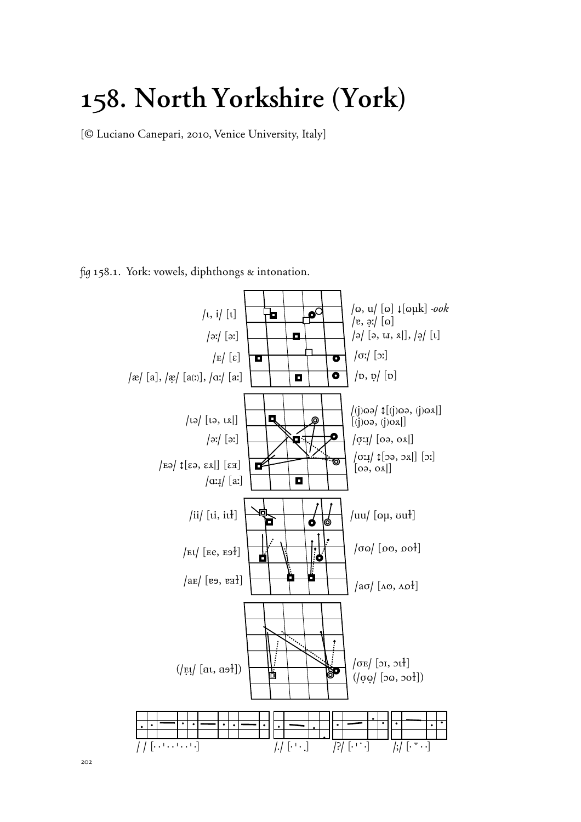## **158. North Yorkshire (York)**

{*©* Luciano Canepari, 2010, Venice University, Italy}

 $\frac{1}{2}$  158.1. York: vowels, diphthongs & intonation.

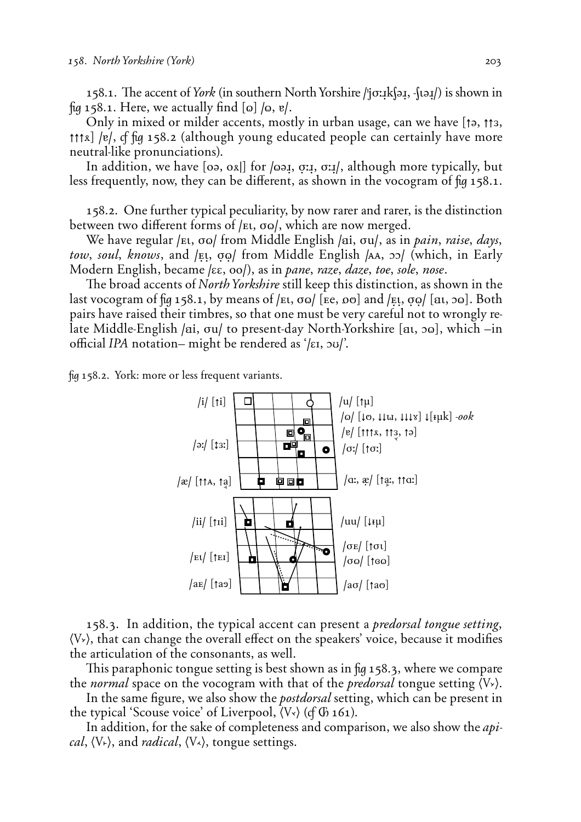158.1. The accent of *York* (in southern North Yorshire *|*'joːɪk{əɪ̯, -{təɪ̯/) is shown in fig 158.1. Here, we actually find  $\lbrack \omega \rbrack$  /o,  $\lbrack \nu \rbrack$ .

Only in mixed or milder accents, mostly in urban usage, can we have  $\uparrow$ ,  $\uparrow$ <sub>3</sub>, **††↑1)** /e/, of fig 158.2 (although young educated people can certainly have more neutral-like pronunciations).

In addition, we have [0ə, ox]] for */*oə*i*, *o*:*i*, *o*:*i*/, although more typically, but less frequently, now, they can be different, as shown in the vocogram of  $\mu$  158.1.

158.2. One further typical peculiarity, by now rarer and rarer, is the distinction between two different forms of /*Et*, σω/, which are now merged.

We have regular /ει, σω/ from Middle English /ai, σu/, as in *pain, raise, days*, *tow, soul, knows, and /Et,*  $\sigma \varphi$  *from Middle English <i>AA, 33/* (which, in Early Modern English, became /εε, oo/), as in *pane, raze, daze, toe, sole, nose*.

The broad accents of *North Yorkshire* still keep this distinction, as shown in the last vocogram of  $\pi$  158.1, by means of  $/\pi$ ,  $\sigma$ o $/$  [ $\pi$ e,  $\sigma$ <sup>o</sup>] and  $/\pi$ ,  $\sigma$ <sup> $\sigma$ </sup> $/$  [ $\pi$ ,  $\sigma$ <sup> $\sigma$ </sup>]. Both pairs have raised their timbres, so that one must be very careful not to wrongly relate Middle-English /ai, *ou*/ to present-day North-Yorkshire [at, oo], which –in o'cial *IPA* notation– might be rendered as '**/EI, OU/**'.

˙ 158.2. York: more or less frequent variants.



158.3. In addition, the typical accent can present a *predorsal tongue setting*,  $\langle V \rangle$ , that can change the overall effect on the speakers' voice, because it modifies the articulation of the consonants, as well.

This paraphonic tongue setting is best shown as in  $\mu$  158.3, where we compare the *normal* space on the vocogram with that of the *predorsal* tongue setting  $\langle V \rangle$ .

In the same figure, we also show the *postdorsal* setting, which can be present in the typical 'Scouse voice' of Liverpool,  $\langle V \rangle$  (cf  $\langle \phi \rangle$  161).

In addition, for the sake of completeness and comparison, we also show the *apical*,  $\langle V_{\tau} \rangle$ , and *radical*,  $\langle V_{\tau} \rangle$ , tongue settings.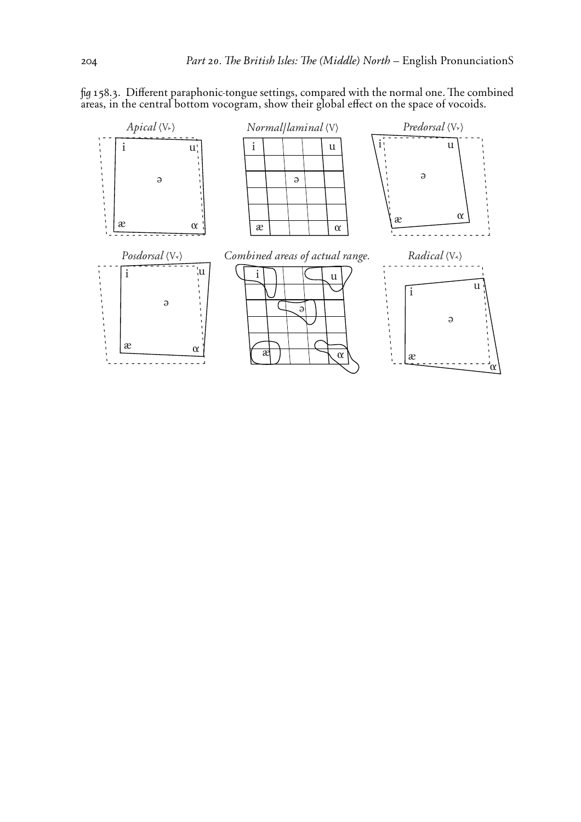

fig 158.3. Different paraphonic-tongue settings, compared with the normal one. The combined areas, in the central bottom vocogram, show their global effect on the space of vocoids.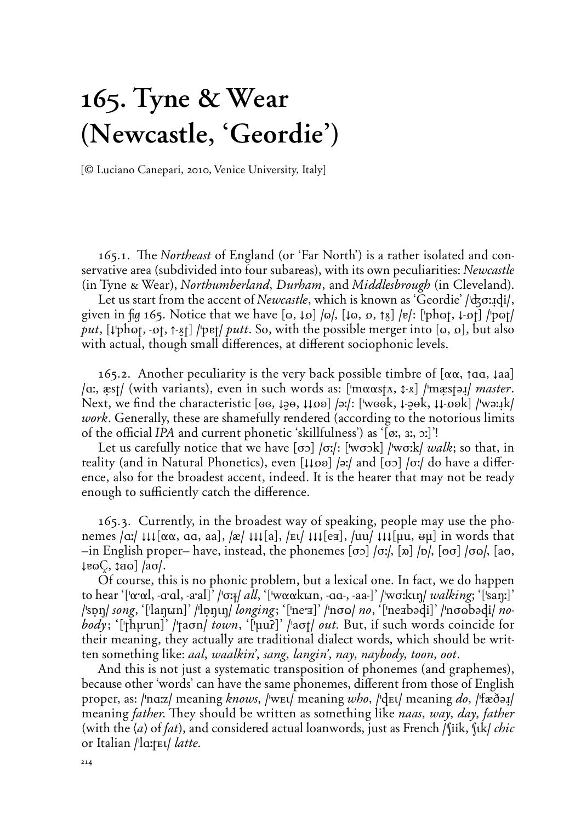# **165. Tyne & Wear (Newcastle, 'Geordie')**

{*©* Luciano Canepari, 2010, Venice University, Italy}

165.1. The *Northeast* of England (or 'Far North') is a rather isolated and conservative area (subdivided into four subareas), with its own peculiarities: *Newcastle* (in Tyne & Wear), *Northumberland*, *Durham*, and *Middlesbrough* (in Cleveland).

Let us start from the accent of *Newcastle*, which is known as 'Geordie' /'αξσιας!), given in  $\pi$  165. Notice that we have  $\pi$   $[0, \pi]$  / $[0, \pi]$ ,  $[\pi, \pi]$  / $[\pi]$  / $[\pi]$  / $[\pi]$  / $[\pi]$ *put*,  $[\downarrow \phi h \circ t, -\phi t, -\phi t]$  /'pet/ *putt*. So, with the possible merger into  $[\circ, \circ]$ , but also with actual, though small differences, at different sociophonic levels.

165.2. Another peculiarity is the very back possible timbre of  $[\alpha\alpha, \beta\alpha]$ ,  $\alpha$ **/**a:, *x*st/ (with variants), even in such words as: ['mααstλ, 1⋅λ] /'mxest *μ*] *master*. Next, we find the characteristic [ee,  $\downarrow$ ∂⊖,  $\downarrow$ loo] /əː/: ['week,  $\downarrow$ -∂•k,  $\downarrow$ l-ook] /'wəːɪk/ *work*. Generally, these are shamefully rendered (according to the notorious limits of the o'cial *IPA* and current phonetic 'skillfulness') as '**(°:, ':, O:)**'!

Let us carefully notice that we have  $\sigma$  / $\sigma$ : ['w $\sigma$ sk] /'w $\sigma$ : k/ *walk*; so that, in reality (and in Natural Phonetics), even [↓↓po] /əː/ and [σɔ] /σː/ do have a difference, also for the broadest accent, indeed. It is the hearer that may not be ready enough to sufficiently catch the difference.

165.3. Currently, in the broadest way of speaking, people may use the phonemes  $\alpha/ \mu\mu[\alpha\alpha, \alpha\alpha, \alpha]$ ,  $\alpha/ \mu[\alpha]$ ,  $\mu[\alpha]$ ,  $\mu[\mu[\alpha]$ ,  $\mu[\alpha]$ ,  $\mu[\mu[\alpha, \alpha\mu]$  in words that  $-$ in English proper– have, instead, the phonemes  $[\sigma$ <sup> $\sigma$ </sup> $]$  / $\sigma$ ;/,  $[\infty]$  / $[\infty]$  / $[\infty]$ ,  $[\infty]$ ,  $[\infty]$ ,  $[\infty]$ ,  $[\infty]$ ,  $[\infty]$ ,  $[\infty]$ ,  $[\infty]$ ,  $[\infty]$ ,  $[\infty]$ ,  $[\infty]$ ,  $[\infty]$ ,  $[\infty]$ ,  $[\infty]$ ,  $[\infty]$ ,  $[\infty]$ ,  $[\infty$  $\frac{1}{2}$ **e**ωÇ,  $\frac{1}{2}$ aω] /aσ/.

Of course, this is no phonic problem, but a lexical one. In fact, we do happen to hear '**('ª;ªl, -A;Al, -a;al)**' **/'ø:§/** *all*, '**('wªªk=n, -AA-, -aa-)**' **/'wø:k¤˙/** *walking*; '**('sa˙:)**' **/'s]˙/** *song*, '**('la˙=n)**' **/'l]˙¤˙/** *longing÷* '**('ne;É)**' **/'nø¨/** *no*, '**('neÉbÈdi)**' **/'nø¨bÈdi/** *nobody*; '['thµ'un]' /'taσn/ *town*, '['μuʔ]' /'aσt/ *out.* But, if such words coincide for their meaning, they actually are traditional dialect words, which should be written something like: *aal, waalkin', sang, langin', nay, naybody, toon, oot*.

And this is not just a systematic transposition of phonemes (and graphemes), because other 'words' can have the same phonemes, different from those of English *proper, as:* **/'na:z/ meaning** *knows,* **/'wet/ meaning** *who,* **/'det/ meaning** *do,**('fæ***d\omegating)** meaning *father*. They should be written as something like *naas*, way, day, *father* (with the  $\langle a \rangle$  of *fat*), and considered actual loanwords, just as French /'(iik, '(ik) *chic* or Italian */'la:tEl/ latte*.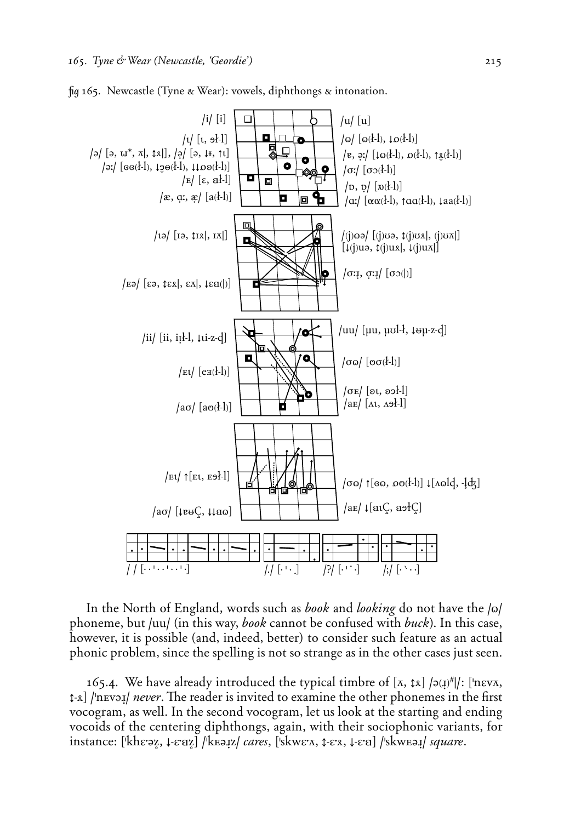

fig 165. Newcastle (Tyne & Wear): vowels, diphthongs  $\alpha$  intonation.

In the North of England, words such as *book* and *looking* do not have the  $|o|$ phoneme, but **/uu/** (in this way, *book* cannot be confused with *buck]*. In this case, however, it is possible (and, indeed, better) to consider such feature as an actual phonic problem, since the spelling is not so strange as in the other cases just seen.

165.4. We have already introduced the typical timbre of [*π*,  $\hat{\tau}$ *λ*] /ə( $\hat{\tau}$ //: ['nεν*π*, **↓**<sub>△</sub> /'nev<sub>→</sub>*l never*. The reader is invited to examine the other phonemes in the first vocogram, as well. In the second vocogram, let us look at the starting and ending vocoids of the centering diphthongs, again, with their sociophonic variants, for instance: **('khE;ÈΩ, ≠-E;ÄΩ) /'k™È≤z/** *cares*, **('skwE;***∏***, ˝-E;∆, ≠-E;Ä) /'skw™È≤/** *square*.